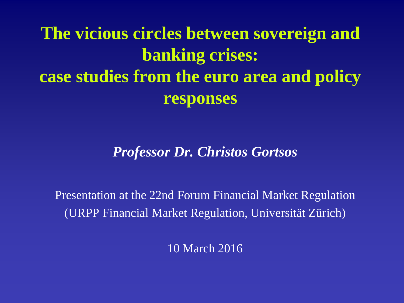# **The vicious circles between sovereign and banking crises: case studies from the euro area and policy responses**

#### *Professor Dr. Christos Gortsos*

Presentation at the 22nd Forum Financial Market Regulation (URPP Financial Market Regulation, Universität Zürich)

10 March 2016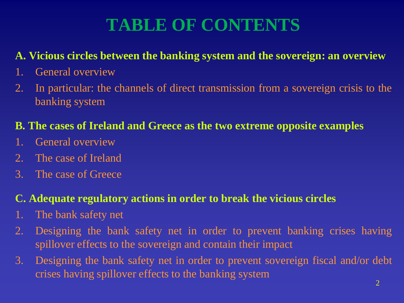## **TABLE OF CONTENTS**

#### **A. Vicious circles between the banking system and the sovereign: an overview**

- 1. General overview
- 2. In particular: the channels of direct transmission from a sovereign crisis to the banking system

#### **B. The cases of Ireland and Greece as the two extreme opposite examples**

- 1. General overview
- 2. The case of Ireland
- 3. The case of Greece

#### **C. Adequate regulatory actions in order to break the vicious circles**

- 1. The bank safety net
- 2. Designing the bank safety net in order to prevent banking crises having spillover effects to the sovereign and contain their impact
- 3. Designing the bank safety net in order to prevent sovereign fiscal and/or debt crises having spillover effects to the banking system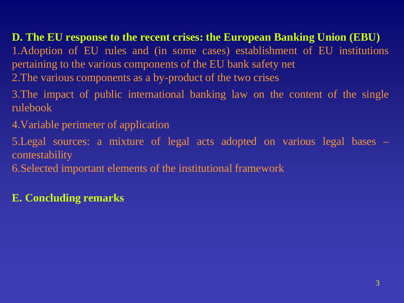## **D. The EU response to the recent crises: the European Banking Union (EBU)**

1.Adoption of EU rules and (in some cases) establishment of EU institutions pertaining to the various components of the EU bank safety net

- 2.The various components as a by-product of the two crises
- 3.The impact of public international banking law on the content of the single rulebook
- 4.Variable perimeter of application
- 5.Legal sources: a mixture of legal acts adopted on various legal bases contestability
- 6.Selected important elements of the institutional framework

#### **E. Concluding remarks**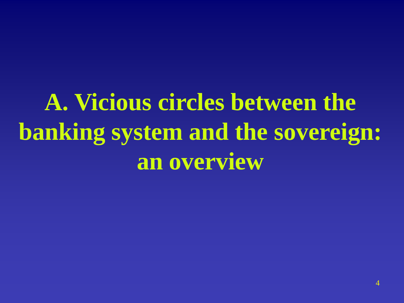# **A. Vicious circles between the banking system and the sovereign: an overview**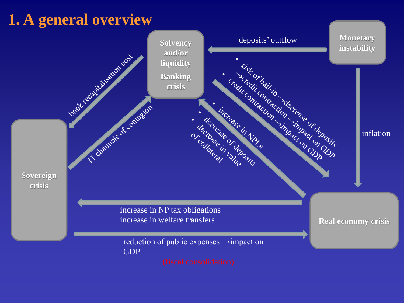### **1. A general overview**

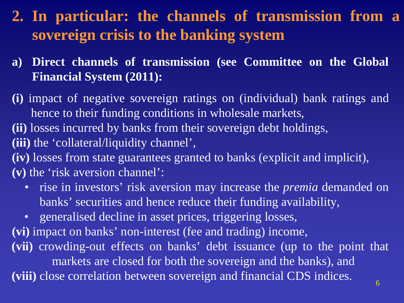- **2. In particular: the channels of transmission from a sovereign crisis to the banking system**
- **a) Direct channels of transmission (see Committee on the Global Financial System (2011):**
- **(i)** impact of negative sovereign ratings on (individual) bank ratings and hence to their funding conditions in wholesale markets, **(ii)** losses incurred by banks from their sovereign debt holdings, **(iii)** the 'collateral/liquidity channel', **(iv)** losses from state guarantees granted to banks (explicit and implicit), **(v)** the 'risk aversion channel':
	- rise in investors' risk aversion may increase the *premia* demanded on banks' securities and hence reduce their funding availability,
	- generalised decline in asset prices, triggering losses,
- **(vi)** impact on banks' non-interest (fee and trading) income,
- **(vii)** crowding-out effects on banks' debt issuance (up to the point that markets are closed for both the sovereign and the banks), and (viii) close correlation between sovereign and financial CDS indices.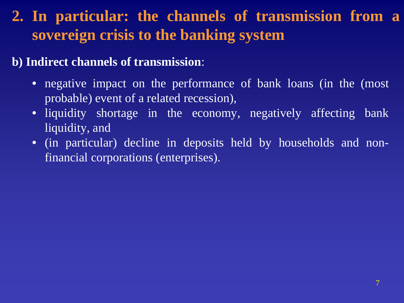### **2. In particular: the channels of transmission from a sovereign crisis to the banking system**

#### **b) Indirect channels of transmission**:

- negative impact on the performance of bank loans (in the (most probable) event of a related recession),
- liquidity shortage in the economy, negatively affecting bank liquidity, and
- (in particular) decline in deposits held by households and nonfinancial corporations (enterprises).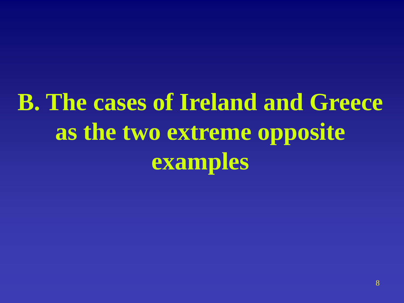# **B. The cases of Ireland and Greece as the two extreme opposite examples**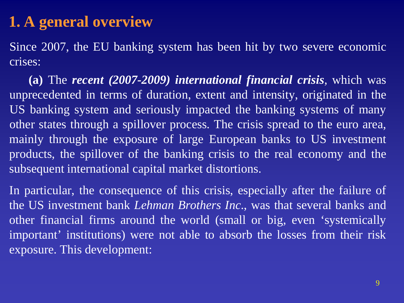### **1. A general overview**

Since 2007, the EU banking system has been hit by two severe economic crises:

**(a)** The *recent (2007-2009) international financial crisis*, which was unprecedented in terms of duration, extent and intensity, originated in the US banking system and seriously impacted the banking systems of many other states through a spillover process. The crisis spread to the euro area, mainly through the exposure of large European banks to US investment products, the spillover of the banking crisis to the real economy and the subsequent international capital market distortions.

In particular, the consequence of this crisis, especially after the failure of the US investment bank *Lehman Brothers Inc*., was that several banks and other financial firms around the world (small or big, even 'systemically important' institutions) were not able to absorb the losses from their risk exposure. This development: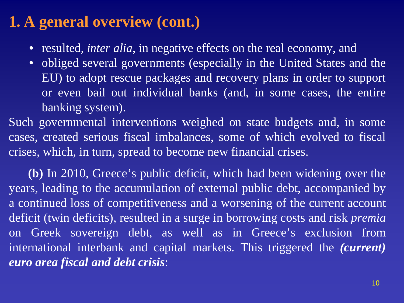### **1. A general overview (cont.)**

- resulted, *inter alia*, in negative effects on the real economy, and
- obliged several governments (especially in the United States and the EU) to adopt rescue packages and recovery plans in order to support or even bail out individual banks (and, in some cases, the entire banking system).

Such governmental interventions weighed on state budgets and, in some cases, created serious fiscal imbalances, some of which evolved to fiscal crises, which, in turn, spread to become new financial crises.

**(b)** In 2010, Greece's public deficit, which had been widening over the years, leading to the accumulation of external public debt, accompanied by a continued loss of competitiveness and a worsening of the current account deficit (twin deficits), resulted in a surge in borrowing costs and risk *premia* on Greek sovereign debt, as well as in Greece's exclusion from international interbank and capital markets. This triggered the *(current) euro area fiscal and debt crisis*: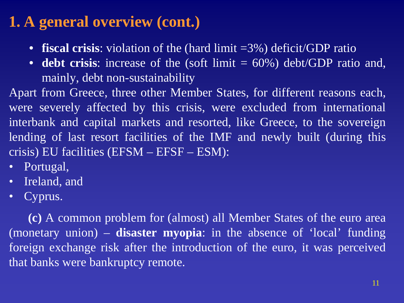### **1. A general overview (cont.)**

- **fiscal crisis**: violation of the (hard limit =3%) deficit/GDP ratio
- **debt crisis**: increase of the (soft limit = 60%) debt/GDP ratio and, mainly, debt non-sustainability

Apart from Greece, three other Member States, for different reasons each, were severely affected by this crisis, were excluded from international interbank and capital markets and resorted, like Greece, to the sovereign lending of last resort facilities of the IMF and newly built (during this crisis) EU facilities (EFSM – EFSF – ESM):

- Portugal,
- Ireland, and
- Cyprus.

**(c)** A common problem for (almost) all Member States of the euro area (monetary union) – **disaster myopia**: in the absence of 'local' funding foreign exchange risk after the introduction of the euro, it was perceived that banks were bankruptcy remote.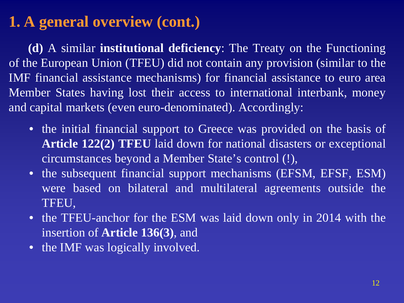### **1. A general overview (cont.)**

**(d)** A similar **institutional deficiency**: The Treaty on the Functioning of the European Union (TFEU) did not contain any provision (similar to the IMF financial assistance mechanisms) for financial assistance to euro area Member States having lost their access to international interbank, money and capital markets (even euro-denominated). Accordingly:

- the initial financial support to Greece was provided on the basis of **Article 122(2) TFEU** laid down for national disasters or exceptional circumstances beyond a Member State's control (!),
- the subsequent financial support mechanisms (EFSM, EFSF, ESM) were based on bilateral and multilateral agreements outside the TFEU,
- the TFEU-anchor for the ESM was laid down only in 2014 with the insertion of **Article 136(3)**, and
- the IMF was logically involved.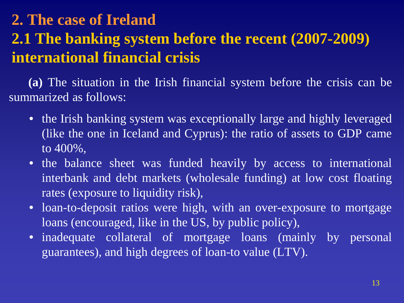### **2. The case of Ireland 2.1 The banking system before the recent (2007-2009) international financial crisis**

**(a)** The situation in the Irish financial system before the crisis can be summarized as follows:

- the Irish banking system was exceptionally large and highly leveraged (like the one in Iceland and Cyprus): the ratio of assets to GDP came to 400%,
- the balance sheet was funded heavily by access to international interbank and debt markets (wholesale funding) at low cost floating rates (exposure to liquidity risk),
- loan-to-deposit ratios were high, with an over-exposure to mortgage loans (encouraged, like in the US, by public policy),
- inadequate collateral of mortgage loans (mainly by personal guarantees), and high degrees of loan-to value (LTV).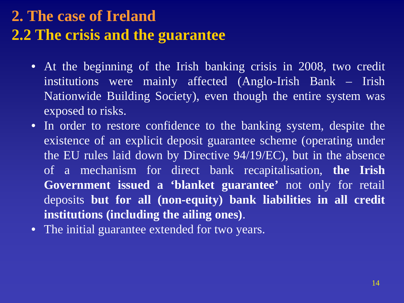### **2. The case of Ireland 2.2 The crisis and the guarantee**

- At the beginning of the Irish banking crisis in 2008, two credit institutions were mainly affected (Anglo-Irish Bank – Irish Nationwide Building Society), even though the entire system was exposed to risks.
- In order to restore confidence to the banking system, despite the existence of an explicit deposit guarantee scheme (operating under the EU rules laid down by Directive 94/19/EC), but in the absence of a mechanism for direct bank recapitalisation, **the Irish Government issued a 'blanket guarantee'** not only for retail deposits **but for all (non-equity) bank liabilities in all credit institutions (including the ailing ones)**.
- The initial guarantee extended for two years.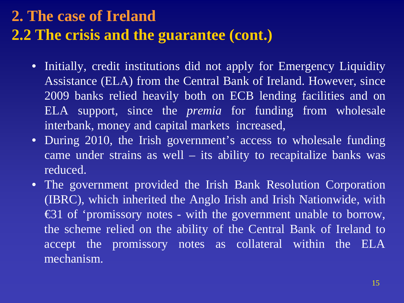### **2. The case of Ireland 2.2 The crisis and the guarantee (cont.)**

- Initially, credit institutions did not apply for Emergency Liquidity Assistance (ELA) from the Central Bank of Ireland. However, since 2009 banks relied heavily both on ECB lending facilities and on ELA support, since the *premia* for funding from wholesale interbank, money and capital markets increased,
- During 2010, the Irish government's access to wholesale funding came under strains as well – its ability to recapitalize banks was reduced.
- The government provided the Irish Bank Resolution Corporation (IBRC), which inherited the Anglo Irish and Irish Nationwide, with €31 of 'promissory notes - with the government unable to borrow, the scheme relied on the ability of the Central Bank of Ireland to accept the promissory notes as collateral within the ELA mechanism.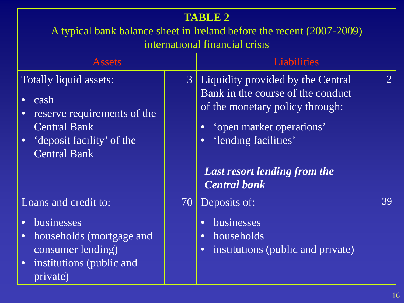#### **TABLE 2**

A typical bank balance sheet in Ireland before the recent (2007-2009)

international financial crisis

| <b>Assets</b>                                                                                                                                                            |                | <b>Liabilities</b><br>$\mathcal{D}_{\cdot}$<br>Liquidity provided by the Central                                                                   |    |  |
|--------------------------------------------------------------------------------------------------------------------------------------------------------------------------|----------------|----------------------------------------------------------------------------------------------------------------------------------------------------|----|--|
| <b>Totally liquid assets:</b><br>cash<br>$\bullet$<br>reserve requirements of the<br><b>Central Bank</b><br>deposit facility' of the<br>$\bullet$<br><b>Central Bank</b> | $\mathfrak{Z}$ | Bank in the course of the conduct<br>of the monetary policy through:<br>'open market operations'<br>$\bullet$<br>'lending facilities'<br>$\bullet$ |    |  |
|                                                                                                                                                                          |                | <b>Last resort lending from the</b><br><b>Central bank</b>                                                                                         |    |  |
| Loans and credit to:<br>businesses<br>$\bullet$<br>households (mortgage and<br>$\bullet$<br>consumer lending)<br>institutions (public and<br>$\bullet$<br>private)       | 70             | Deposits of:<br>businesses<br>$\bullet$<br>households<br>$\bullet$<br>institutions (public and private)<br>$\bullet$                               | 39 |  |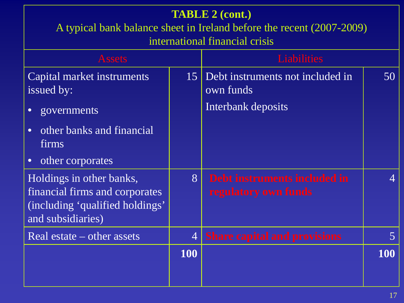| <b>TABLE 2 (cont.)</b><br>A typical bank balance sheet in Ireland before the recent (2007-2009)<br>international financial crisis |                |                                                                     |                          |  |  |
|-----------------------------------------------------------------------------------------------------------------------------------|----------------|---------------------------------------------------------------------|--------------------------|--|--|
| <b>Liabilities</b><br><b>Assets</b>                                                                                               |                |                                                                     |                          |  |  |
| Capital market instruments<br>issued by:<br>governments<br>$\bullet$                                                              | 15             | Debt instruments not included in<br>own funds<br>Interbank deposits | 50                       |  |  |
| other banks and financial<br>$\bullet$<br><i>firms</i>                                                                            |                |                                                                     |                          |  |  |
| other corporates<br>$\bullet$                                                                                                     |                |                                                                     |                          |  |  |
| Holdings in other banks,<br>financial firms and corporates<br>(including 'qualified holdings'<br>and subsidiaries)                | 8 <sup>1</sup> | Debt instruments included in<br>regulatory own funds                | $\boldsymbol{\varDelta}$ |  |  |
| Real estate – other assets                                                                                                        | $\overline{4}$ | <b>Share capital and provisions</b>                                 | $\overline{5}$           |  |  |
|                                                                                                                                   | <b>100</b>     |                                                                     | <b>100</b>               |  |  |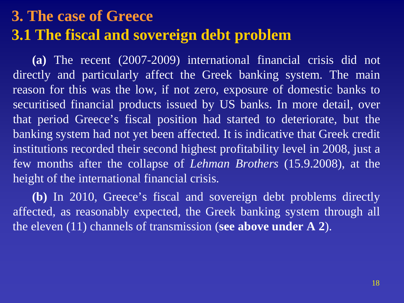### **3. The case of Greece 3.1 The fiscal and sovereign debt problem**

**(a)** The recent (2007-2009) international financial crisis did not directly and particularly affect the Greek banking system. The main reason for this was the low, if not zero, exposure of domestic banks to securitised financial products issued by US banks. In more detail, over that period Greece's fiscal position had started to deteriorate, but the banking system had not yet been affected. It is indicative that Greek credit institutions recorded their second highest profitability level in 2008, just a few months after the collapse of *Lehman Brothers* (15.9.2008), at the height of the international financial crisis.

**(b)** In 2010, Greece's fiscal and sovereign debt problems directly affected, as reasonably expected, the Greek banking system through all the eleven (11) channels of transmission (**see above under A 2**).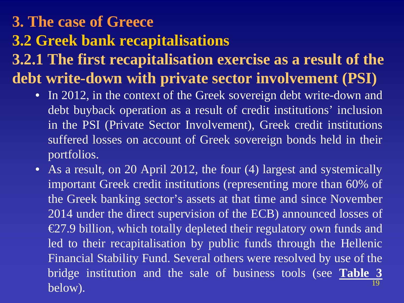### **3. The case of Greece 3.2 Greek bank recapitalisations 3.2.1 The first recapitalisation exercise as a result of the debt write-down with private sector involvement (PSI)**

- In 2012, in the context of the Greek sovereign debt write-down and debt buyback operation as a result of credit institutions' inclusion in the PSI (Private Sector Involvement), Greek credit institutions suffered losses on account of Greek sovereign bonds held in their portfolios.
- As a result, on 20 April 2012, the four (4) largest and systemically important Greek credit institutions (representing more than 60% of the Greek banking sector's assets at that time and since November 2014 under the direct supervision of the ECB) announced losses of €27.9 billion, which totally depleted their regulatory own funds and led to their recapitalisation by public funds through the Hellenic Financial Stability Fund. Several others were resolved by use of the bridge institution and the sale of business tools (see **Table 3**  $\text{below}$ ). The set of the set of the set of the set of the set of the set of the set of the set of the set of the set of the set of the set of the set of the set of the set of the set of the set of the set of the set of th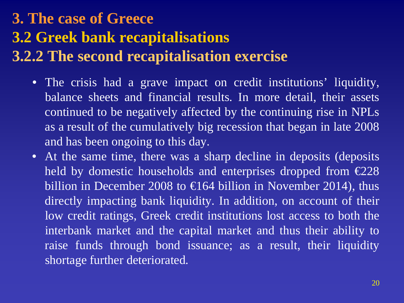### **3. The case of Greece 3.2 Greek bank recapitalisations 3.2.2 The second recapitalisation exercise**

- The crisis had a grave impact on credit institutions' liquidity, balance sheets and financial results. In more detail, their assets continued to be negatively affected by the continuing rise in NPLs as a result of the cumulatively big recession that began in late 2008 and has been ongoing to this day.
- At the same time, there was a sharp decline in deposits (deposits held by domestic households and enterprises dropped from  $\epsilon$ 228 billion in December 2008 to  $\in$  64 billion in November 2014), thus directly impacting bank liquidity. In addition, on account of their low credit ratings, Greek credit institutions lost access to both the interbank market and the capital market and thus their ability to raise funds through bond issuance; as a result, their liquidity shortage further deteriorated.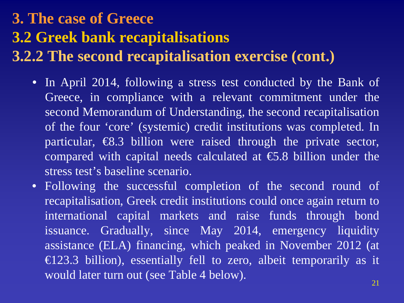### **3. The case of Greece 3.2 Greek bank recapitalisations 3.2.2 The second recapitalisation exercise (cont.)**

- In April 2014, following a stress test conducted by the Bank of Greece, in compliance with a relevant commitment under the second Memorandum of Understanding, the second recapitalisation of the four 'core' (systemic) credit institutions was completed. In particular,  $\epsilon$ 8.3 billion were raised through the private sector, compared with capital needs calculated at  $\epsilon$ 5.8 billion under the stress test's baseline scenario.
- Following the successful completion of the second round of recapitalisation, Greek credit institutions could once again return to international capital markets and raise funds through bond issuance. Gradually, since May 2014, emergency liquidity assistance (ELA) financing, which peaked in November 2012 (at  $\in$  23.3 billion), essentially fell to zero, albeit temporarily as it would later turn out (see Table 4 below).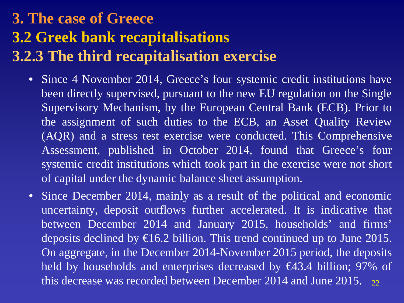### **3. The case of Greece 3.2 Greek bank recapitalisations 3.2.3 The third recapitalisation exercise**

- Since 4 November 2014, Greece's four systemic credit institutions have been directly supervised, pursuant to the new EU regulation on the Single Supervisory Mechanism, by the European Central Bank (ECB). Prior to the assignment of such duties to the ECB, an Asset Quality Review (AQR) and a stress test exercise were conducted. This Comprehensive Assessment, published in October 2014, found that Greece's four systemic credit institutions which took part in the exercise were not short of capital under the dynamic balance sheet assumption.
- Since December 2014, mainly as a result of the political and economic uncertainty, deposit outflows further accelerated. It is indicative that between December 2014 and January 2015, households' and firms' deposits declined by  $\in$  6.2 billion. This trend continued up to June 2015. On aggregate, in the December 2014-November 2015 period, the deposits held by households and enterprises decreased by €43.4 billion; 97% of this decrease was recorded between December 2014 and June 2015.  $_{22}$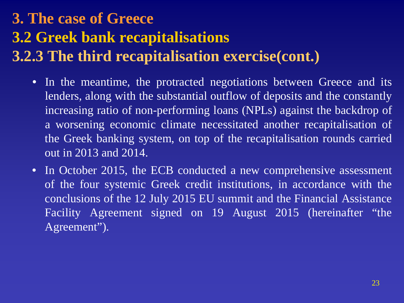### **3. The case of Greece 3.2 Greek bank recapitalisations 3.2.3 The third recapitalisation exercise(cont.)**

- In the meantime, the protracted negotiations between Greece and its lenders, along with the substantial outflow of deposits and the constantly increasing ratio of non-performing loans (NPLs) against the backdrop of a worsening economic climate necessitated another recapitalisation of the Greek banking system, on top of the recapitalisation rounds carried out in 2013 and 2014.
- In October 2015, the ECB conducted a new comprehensive assessment of the four systemic Greek credit institutions, in accordance with the conclusions of the 12 July 2015 EU summit and the Financial Assistance Facility Agreement signed on 19 August 2015 (hereinafter "the Agreement").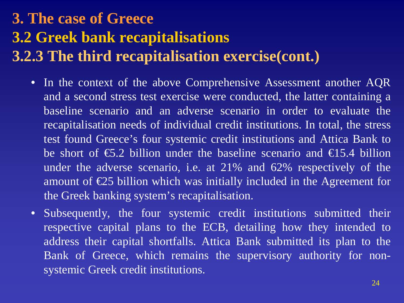### **3. The case of Greece 3.2 Greek bank recapitalisations 3.2.3 The third recapitalisation exercise(cont.)**

- In the context of the above Comprehensive Assessment another AQR and a second stress test exercise were conducted, the latter containing a baseline scenario and an adverse scenario in order to evaluate the recapitalisation needs of individual credit institutions. In total, the stress test found Greece's four systemic credit institutions and Attica Bank to be short of  $\epsilon$ 5.2 billion under the baseline scenario and  $\epsilon$ 15.4 billion under the adverse scenario, i.e. at 21% and 62% respectively of the amount of  $E$ 5 billion which was initially included in the Agreement for the Greek banking system's recapitalisation.
- Subsequently, the four systemic credit institutions submitted their respective capital plans to the ECB, detailing how they intended to address their capital shortfalls. Attica Bank submitted its plan to the Bank of Greece, which remains the supervisory authority for nonsystemic Greek credit institutions.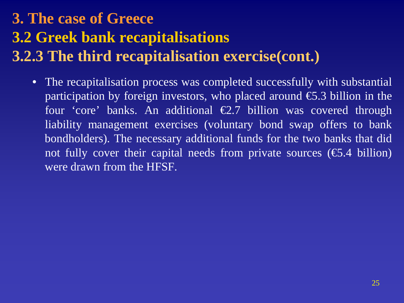### **3. The case of Greece 3.2 Greek bank recapitalisations 3.2.3 The third recapitalisation exercise(cont.)**

The recapitalisation process was completed successfully with substantial participation by foreign investors, who placed around  $\epsilon$ 5.3 billion in the four 'core' banks. An additional  $\epsilon$ 2.7 billion was covered through liability management exercises (voluntary bond swap offers to bank bondholders). The necessary additional funds for the two banks that did not fully cover their capital needs from private sources ( $\epsilon$ 5.4 billion) were drawn from the HFSF.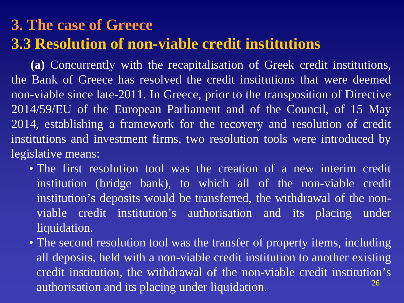### **3. The case of Greece 3.3 Resolution of non-viable credit institutions**

**(a)** Concurrently with the recapitalisation of Greek credit institutions, the Bank of Greece has resolved the credit institutions that were deemed non-viable since late-2011. In Greece, prior to the transposition of Directive 2014/59/EU of the European Parliament and of the Council, of 15 May 2014, establishing a framework for the recovery and resolution of credit institutions and investment firms, two resolution tools were introduced by legislative means:

- The first resolution tool was the creation of a new interim credit institution (bridge bank), to which all of the non-viable credit institution's deposits would be transferred, the withdrawal of the nonviable credit institution's authorisation and its placing under liquidation.
- The second resolution tool was the transfer of property items, including all deposits, held with a non-viable credit institution to another existing credit institution, the withdrawal of the non-viable credit institution's authorisation and its placing under liquidation. 26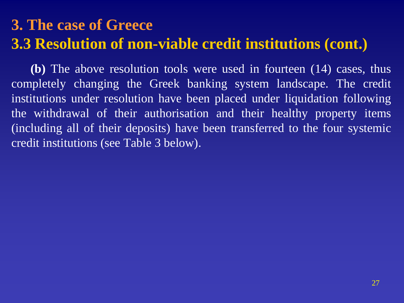### **3. The case of Greece 3.3 Resolution of non-viable credit institutions (cont.)**

**(b)** The above resolution tools were used in fourteen (14) cases, thus completely changing the Greek banking system landscape. The credit institutions under resolution have been placed under liquidation following the withdrawal of their authorisation and their healthy property items (including all of their deposits) have been transferred to the four systemic credit institutions (see Table 3 below).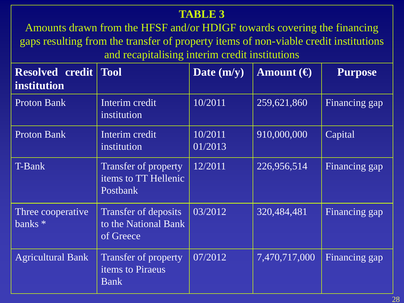#### **TABLE 3**

Amounts drawn from the HFSF and/or HDIGF towards covering the financing gaps resulting from the transfer of property items of non-viable credit institutions and recapitalising interim credit institutions

| <b>Resolved credit</b><br>institution     | <b>Tool</b>                                                     | Date $(m/y)$       | Amount $\Theta$ | <b>Purpose</b> |
|-------------------------------------------|-----------------------------------------------------------------|--------------------|-----------------|----------------|
| <b>Proton Bank</b>                        | Interim credit<br>institution                                   | 10/2011            | 259,621,860     | Financing gap  |
| <b>Proton Bank</b>                        | Interim credit<br>institution                                   | 10/2011<br>01/2013 | 910,000,000     | Capital        |
| T-Bank                                    | Transfer of property<br>items to TT Hellenic<br><b>Postbank</b> | 12/2011            | 226,956,514     | Financing gap  |
| Three cooperative<br>$\overline{banks}$ * | Transfer of deposits<br>to the National Bank<br>of Greece       | 03/2012            | 320,484,481     | Financing gap  |
| <b>Agricultural Bank</b>                  | <b>Transfer of property</b><br>items to Piraeus<br><b>Bank</b>  | 07/2012            | 7,470,717,000   | Financing gap  |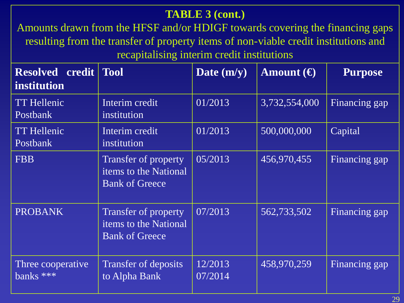#### **TABLE 3 (cont.)**

Amounts drawn from the HFSF and/or HDIGF towards covering the financing gaps resulting from the transfer of property items of non-viable credit institutions and recapitalising interim credit institutions

| <b>Resolved</b><br>credit<br>institution | <b>Tool</b>                                                            | Date $(m/y)$       | Amount $\Theta$ | <b>Purpose</b> |
|------------------------------------------|------------------------------------------------------------------------|--------------------|-----------------|----------------|
| <b>TT Hellenic</b><br>Postbank           | Interim credit<br>institution                                          | 01/2013            | 3,732,554,000   | Financing gap  |
| <b>TT Hellenic</b><br><b>Postbank</b>    | Interim credit<br>institution                                          | 01/2013            | 500,000,000     | Capital        |
| <b>FBB</b>                               | Transfer of property<br>items to the National<br><b>Bank of Greece</b> | 05/2013            | 456,970,455     | Financing gap  |
| <b>PROBANK</b>                           | Transfer of property<br>items to the National<br><b>Bank of Greece</b> | 07/2013            | 562,733,502     | Financing gap  |
| Three cooperative<br>banks ***           | Transfer of deposits<br>to Alpha Bank                                  | 12/2013<br>07/2014 | 458,970,259     | Financing gap  |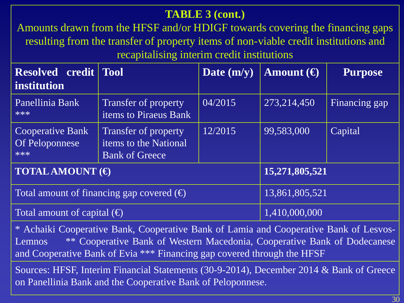#### **TABLE 3 (cont.)**

Amounts drawn from the HFSF and/or HDIGF towards covering the financing gaps resulting from the transfer of property items of non-viable credit institutions and recapitalising interim credit institutions

| <b>Resolved credit Tool</b><br><i>institution</i> |                                                                        | Date $(m/y)$ | Amount $\Theta$ | <b>Purpose</b> |
|---------------------------------------------------|------------------------------------------------------------------------|--------------|-----------------|----------------|
| Panellinia Bank<br>***                            | Transfer of property<br>items to Piraeus Bank                          | 04/2015      | 273,214,450     | Financing gap  |
| <b>Cooperative Bank</b><br>Of Peloponnese<br>***  | Transfer of property<br>items to the National<br><b>Bank of Greece</b> | 12/2015      | 99,583,000      | Capital        |
| <b>TOTAL AMOUNT</b> $(\theta)$                    |                                                                        |              | 15,271,805,521  |                |
| Total amount of financing gap covered $(\oplus)$  |                                                                        |              | 13,861,805,521  |                |
| Total amount of capital $(\bigoplus$              |                                                                        |              | 1,410,000,000   |                |

\* Achaiki Cooperative Bank, Cooperative Bank of Lamia and Cooperative Bank of Lesvos-Lemnos \*\* Cooperative Bank of Western Macedonia, Cooperative Bank of Dodecanese and Cooperative Bank of Evia \*\*\* Financing gap covered through the HFSF

Sources: HFSF, Interim Financial Statements (30-9-2014), December 2014 & Bank of Greece on Panellinia Bank and the Cooperative Bank of Peloponnese.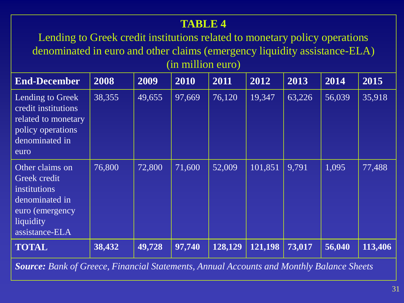#### **TABLE 4**

Lending to Greek credit institutions related to monetary policy operations denominated in euro and other claims (emergency liquidity assistance-ELA) (in million euro)

| <b>End-December</b>                                                                                                        | 2008   | 2009   | 2010   | 2011    | 2012    | 2013   | 2014   | 2015    |
|----------------------------------------------------------------------------------------------------------------------------|--------|--------|--------|---------|---------|--------|--------|---------|
| Lending to Greek<br>credit institutions<br>related to monetary<br>policy operations<br>denominated in<br>euro              | 38,355 | 49,655 | 97,669 | 76,120  | 19,347  | 63,226 | 56,039 | 35,918  |
| Other claims on<br>Greek credit<br><i>institutions</i><br>denominated in<br>euro (emergency<br>liquidity<br>assistance-ELA | 76,800 | 72,800 | 71,600 | 52,009  | 101,851 | 9,791  | 1,095  | 77,488  |
| <b>TOTAL</b>                                                                                                               | 38,432 | 49,728 | 97,740 | 128,129 | 121,198 | 73,017 | 56,040 | 113,406 |

*Source: Bank of Greece, Financial Statements, Annual Accounts and Monthly Balance Sheets*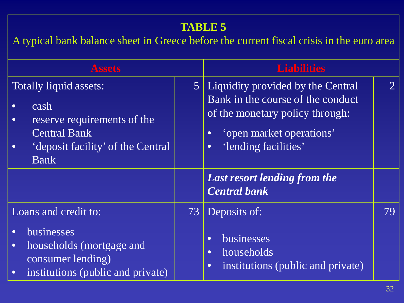#### **TABLE 5**

A typical bank balance sheet in Greece before the current fiscal crisis in the euro area

| <b>Assets</b>                                                                                                                                                                   |                | <b>Liabilities</b>                                                                                                                                                                      |                |
|---------------------------------------------------------------------------------------------------------------------------------------------------------------------------------|----------------|-----------------------------------------------------------------------------------------------------------------------------------------------------------------------------------------|----------------|
| Totally liquid assets:<br>cash<br>$\bullet$<br>reserve requirements of the<br>$\bullet$<br><b>Central Bank</b><br>'deposit facility' of the Central<br>$\bullet$<br><b>Bank</b> | 5 <sup>1</sup> | Liquidity provided by the Central<br>Bank in the course of the conduct<br>of the monetary policy through:<br>'open market operations'<br>$\bullet$<br>'lending facilities'<br>$\bullet$ | $\overline{2}$ |
|                                                                                                                                                                                 |                | <b>Last resort lending from the</b><br><b>Central bank</b>                                                                                                                              |                |
| Loans and credit to:<br>businesses<br>$\bullet$<br>households (mortgage and<br>$\bullet$<br>consumer lending)<br>institutions (public and private)<br>$\bullet$                 | 73             | Deposits of:<br>businesses<br>$\bullet$<br>households<br>$\bullet$<br>institutions (public and private)<br>$\bullet$                                                                    | 79             |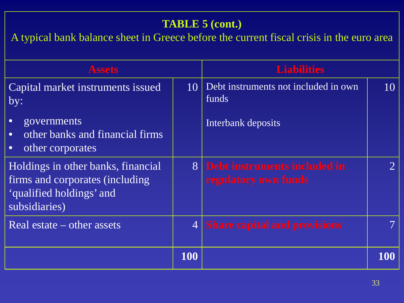#### **TABLE 5 (cont.)**

A typical bank balance sheet in Greece before the current fiscal crisis in the euro area

| <b>Assets</b>                                                                                                       |     | <b>Liabilities</b>                                     |               |
|---------------------------------------------------------------------------------------------------------------------|-----|--------------------------------------------------------|---------------|
| Capital market instruments issued<br>by:                                                                            |     | 10 Debt instruments not included in own<br>funds       | 10            |
| governments<br>other banks and financial firms<br>$\bullet$<br>other corporates<br>$\bullet$                        |     | Interbank deposits                                     |               |
| Holdings in other banks, financial<br>firms and corporates (including)<br>'qualified holdings' and<br>subsidiaries) |     | 8 Debt instruments included in<br>regulatory own funds | $\mathcal{L}$ |
| Real estate – other assets                                                                                          |     | 4 Share capital and provisions                         |               |
|                                                                                                                     | 100 |                                                        | 100           |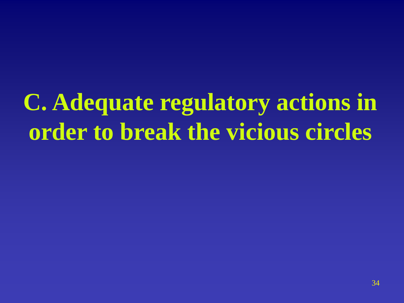**C. Adequate regulatory actions in order to break the vicious circles**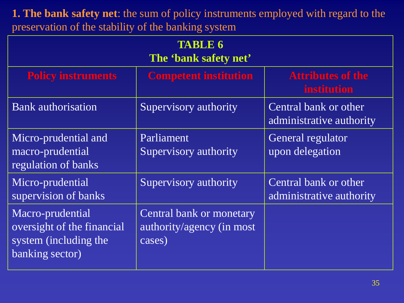**1. The bank safety net**: the sum of policy instruments employed with regard to the preservation of the stability of the banking system

| <b>TABLE 6</b><br>The 'bank safety net'                                                    |                                                                 |                                                   |  |  |  |  |
|--------------------------------------------------------------------------------------------|-----------------------------------------------------------------|---------------------------------------------------|--|--|--|--|
| <b>Policy instruments</b>                                                                  | <b>Competent institution</b>                                    | <b>Attributes of the</b><br><b>institution</b>    |  |  |  |  |
| <b>Bank</b> authorisation                                                                  | Supervisory authority                                           | Central bank or other<br>administrative authority |  |  |  |  |
| Micro-prudential and<br>macro-prudential<br>regulation of banks                            | Parliament<br>Supervisory authority                             | General regulator<br>upon delegation              |  |  |  |  |
| Micro-prudential<br>supervision of banks                                                   | Supervisory authority                                           | Central bank or other<br>administrative authority |  |  |  |  |
| Macro-prudential<br>oversight of the financial<br>system (including the<br>banking sector) | Central bank or monetary<br>authority/agency (in most<br>cases) |                                                   |  |  |  |  |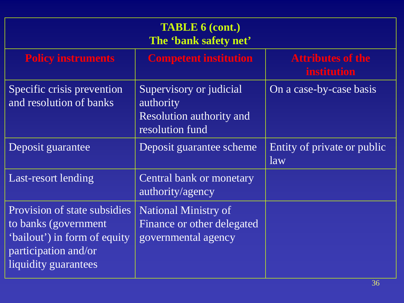| <b>TABLE 6 (cont.)</b><br>The 'bank safety net'                                                                                      |                                                                                            |                                                |  |  |  |
|--------------------------------------------------------------------------------------------------------------------------------------|--------------------------------------------------------------------------------------------|------------------------------------------------|--|--|--|
| <b>Policy instruments</b>                                                                                                            | <b>Competent institution</b>                                                               | <b>Attributes of the</b><br><b>institution</b> |  |  |  |
| Specific crisis prevention<br>and resolution of banks                                                                                | Supervisory or judicial<br>authority<br><b>Resolution authority and</b><br>resolution fund | On a case-by-case basis                        |  |  |  |
| Deposit guarantee                                                                                                                    | Deposit guarantee scheme                                                                   | Entity of private or public<br>law             |  |  |  |
| Last-resort lending                                                                                                                  | Central bank or monetary<br>authority/agency                                               |                                                |  |  |  |
| Provision of state subsidies<br>to banks (government<br>'bailout') in form of equity<br>participation and/or<br>liquidity guarantees | <b>National Ministry of</b><br>Finance or other delegated<br>governmental agency           |                                                |  |  |  |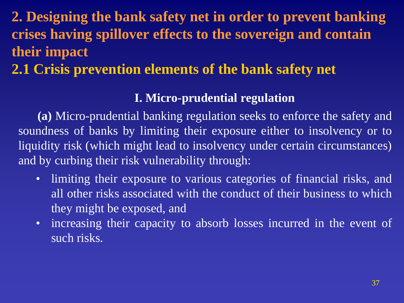## **2.1 Crisis prevention elements of the bank safety net**

#### **I. Micro-prudential regulation**

**(a)** Micro-prudential banking regulation seeks to enforce the safety and soundness of banks by limiting their exposure either to insolvency or to liquidity risk (which might lead to insolvency under certain circumstances) and by curbing their risk vulnerability through:

- limiting their exposure to various categories of financial risks, and all other risks associated with the conduct of their business to which they might be exposed, and
- increasing their capacity to absorb losses incurred in the event of such risks.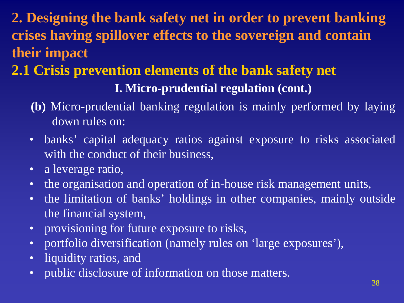# **2.1 Crisis prevention elements of the bank safety net I. Micro-prudential regulation (cont.)**

- **(b)** Micro-prudential banking regulation is mainly performed by laying down rules on:
- banks' capital adequacy ratios against exposure to risks associated with the conduct of their business,
- a leverage ratio,
- the organisation and operation of in-house risk management units,
- the limitation of banks' holdings in other companies, mainly outside the financial system,
- provisioning for future exposure to risks,
- portfolio diversification (namely rules on 'large exposures'),
- liquidity ratios, and
- public disclosure of information on those matters.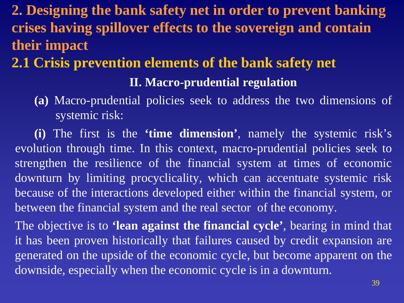## **2.1 Crisis prevention elements of the bank safety net**

#### **II. Macro-prudential regulation**

**(a)** Macro-prudential policies seek to address the two dimensions of systemic risk:

**(i)** The first is the **'time dimension'**, namely the systemic risk's evolution through time. In this context, macro-prudential policies seek to strengthen the resilience of the financial system at times of economic downturn by limiting procyclicality, which can accentuate systemic risk because of the interactions developed either within the financial system, or between the financial system and the real sector of the economy.

The objective is to **'lean against the financial cycle'**, bearing in mind that it has been proven historically that failures caused by credit expansion are generated on the upside of the economic cycle, but become apparent on the downside, especially when the economic cycle is in a downturn.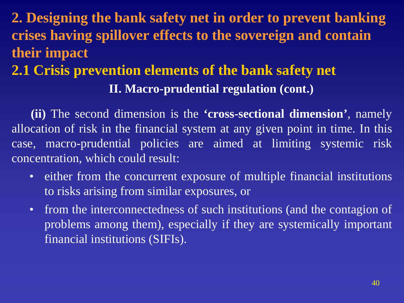# **2.1 Crisis prevention elements of the bank safety net II. Macro-prudential regulation (cont.)**

**(ii)** The second dimension is the **'cross-sectional dimension'**, namely allocation of risk in the financial system at any given point in time. In this case, macro-prudential policies are aimed at limiting systemic risk concentration, which could result:

- either from the concurrent exposure of multiple financial institutions to risks arising from similar exposures, or
- from the interconnectedness of such institutions (and the contagion of problems among them), especially if they are systemically important financial institutions (SIFIs).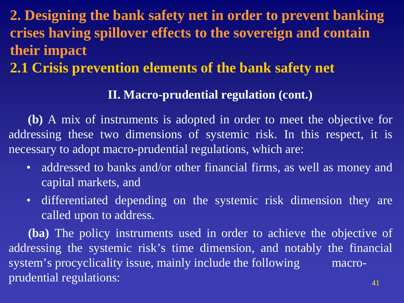## **2.1 Crisis prevention elements of the bank safety net**

#### **II. Macro-prudential regulation (cont.)**

**(b)** A mix of instruments is adopted in order to meet the objective for addressing these two dimensions of systemic risk. In this respect, it is necessary to adopt macro-prudential regulations, which are:

- addressed to banks and/or other financial firms, as well as money and capital markets, and
- differentiated depending on the systemic risk dimension they are called upon to address.

**(ba)** The policy instruments used in order to achieve the objective of addressing the systemic risk's time dimension, and notably the financial system's procyclicality issue, mainly include the following macroprudential regulations:  $41$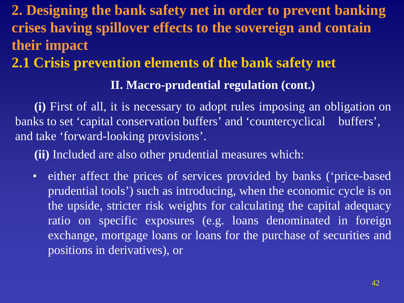## **2.1 Crisis prevention elements of the bank safety net**

#### **II. Macro-prudential regulation (cont.)**

**(i)** First of all, it is necessary to adopt rules imposing an obligation on banks to set 'capital conservation buffers' and 'countercyclical buffers', and take 'forward-looking provisions'.

**(ii)** Included are also other prudential measures which:

• either affect the prices of services provided by banks ('price-based prudential tools') such as introducing, when the economic cycle is on the upside, stricter risk weights for calculating the capital adequacy ratio on specific exposures (e.g. loans denominated in foreign exchange, mortgage loans or loans for the purchase of securities and positions in derivatives), or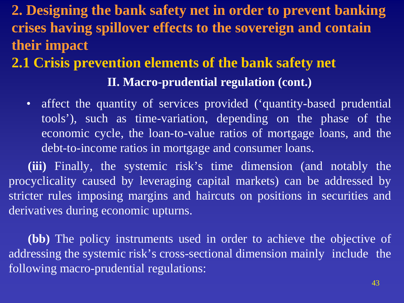# **2.1 Crisis prevention elements of the bank safety net II. Macro-prudential regulation (cont.)**

• affect the quantity of services provided ('quantity-based prudential tools'), such as time-variation, depending on the phase of the economic cycle, the loan-to-value ratios of mortgage loans, and the debt-to-income ratios in mortgage and consumer loans.

**(iii)** Finally, the systemic risk's time dimension (and notably the procyclicality caused by leveraging capital markets) can be addressed by stricter rules imposing margins and haircuts on positions in securities and derivatives during economic upturns.

**(bb)** The policy instruments used in order to achieve the objective of addressing the systemic risk's cross-sectional dimension mainly include the following macro-prudential regulations: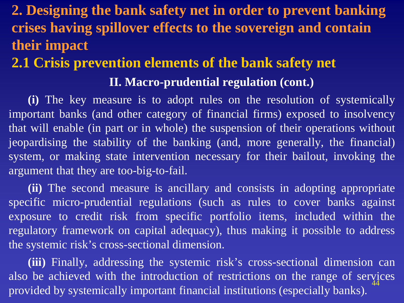## **2.1 Crisis prevention elements of the bank safety net II. Macro-prudential regulation (cont.)**

**(i)** The key measure is to adopt rules on the resolution of systemically important banks (and other category of financial firms) exposed to insolvency that will enable (in part or in whole) the suspension of their operations without jeopardising the stability of the banking (and, more generally, the financial) system, or making state intervention necessary for their bailout, invoking the argument that they are too-big-to-fail.

**(ii)** The second measure is ancillary and consists in adopting appropriate specific micro-prudential regulations (such as rules to cover banks against exposure to credit risk from specific portfolio items, included within the regulatory framework on capital adequacy), thus making it possible to address the systemic risk's cross-sectional dimension.

**(iii)** Finally, addressing the systemic risk's cross-sectional dimension can also be achieved with the introduction of restrictions on the range of services provided by systemically important financial institutions (especially banks). 44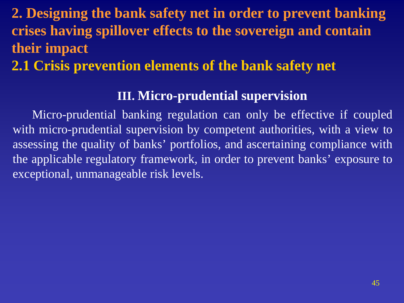## **2.1 Crisis prevention elements of the bank safety net**

#### **III. Micro-prudential supervision**

Micro-prudential banking regulation can only be effective if coupled with micro-prudential supervision by competent authorities, with a view to assessing the quality of banks' portfolios, and ascertaining compliance with the applicable regulatory framework, in order to prevent banks' exposure to exceptional, unmanageable risk levels.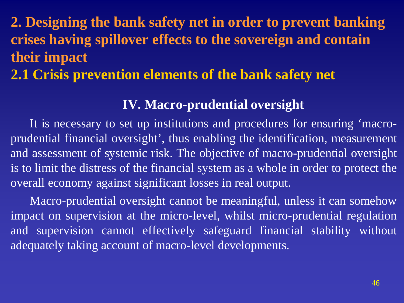## **2.1 Crisis prevention elements of the bank safety net**

#### **IV. Macro-prudential oversight**

It is necessary to set up institutions and procedures for ensuring 'macroprudential financial oversight', thus enabling the identification, measurement and assessment of systemic risk. The objective of macro-prudential oversight is to limit the distress of the financial system as a whole in order to protect the overall economy against significant losses in real output.

Macro-prudential oversight cannot be meaningful, unless it can somehow impact on supervision at the micro-level, whilst micro-prudential regulation and supervision cannot effectively safeguard financial stability without adequately taking account of macro-level developments.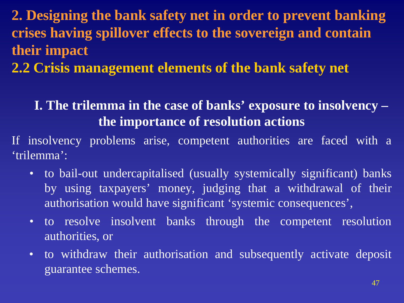**2.2 Crisis management elements of the bank safety net**

## **I. The trilemma in the case of banks' exposure to insolvency – the importance of resolution actions**

If insolvency problems arise, competent authorities are faced with a 'trilemma':

- to bail-out undercapitalised (usually systemically significant) banks by using taxpayers' money, judging that a withdrawal of their authorisation would have significant 'systemic consequences',
- to resolve insolvent banks through the competent resolution authorities, or
- to withdraw their authorisation and subsequently activate deposit guarantee schemes.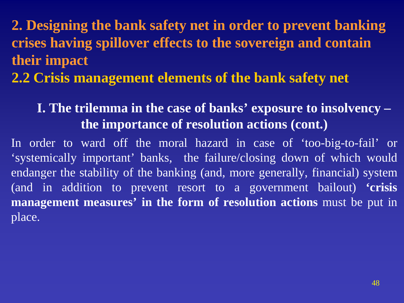**2. Designing the bank safety net in order to prevent banking crises having spillover effects to the sovereign and contain their impact 2.2 Crisis management elements of the bank safety net**

#### **I. The trilemma in the case of banks' exposure to insolvency – the importance of resolution actions (cont.)**

In order to ward off the moral hazard in case of 'too-big-to-fail' or 'systemically important' banks, the failure/closing down of which would endanger the stability of the banking (and, more generally, financial) system (and in addition to prevent resort to a government bailout) **'crisis management measures' in the form of resolution actions** must be put in place.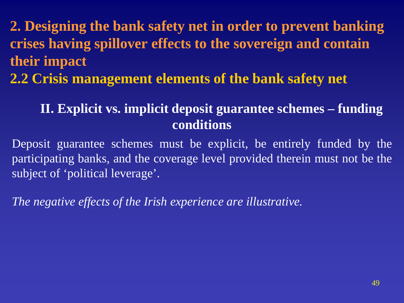**2.2 Crisis management elements of the bank safety net**

## **II. Explicit vs. implicit deposit guarantee schemes – funding conditions**

Deposit guarantee schemes must be explicit, be entirely funded by the participating banks, and the coverage level provided therein must not be the subject of 'political leverage'.

*The negative effects of the Irish experience are illustrative.*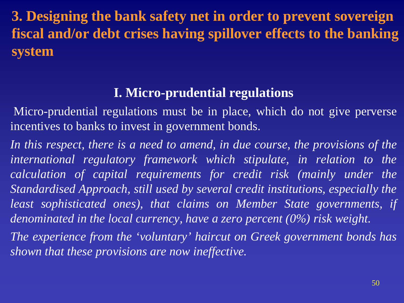**3. Designing the bank safety net in order to prevent sovereign fiscal and/or debt crises having spillover effects to the banking system**

#### **I. Micro-prudential regulations**

Micro-prudential regulations must be in place, which do not give perverse incentives to banks to invest in government bonds.

*In this respect, there is a need to amend, in due course, the provisions of the international regulatory framework which stipulate, in relation to the calculation of capital requirements for credit risk (mainly under the Standardised Approach, still used by several credit institutions, especially the least sophisticated ones), that claims on Member State governments, if denominated in the local currency, have a zero percent (0%) risk weight.*

*The experience from the 'voluntary' haircut on Greek government bonds has shown that these provisions are now ineffective.*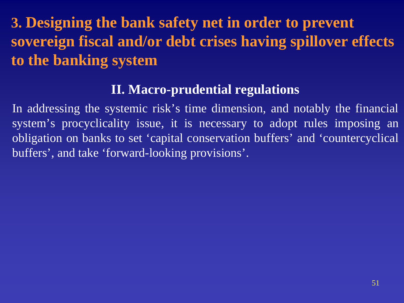# **3. Designing the bank safety net in order to prevent sovereign fiscal and/or debt crises having spillover effects to the banking system**

#### **II. Macro-prudential regulations**

In addressing the systemic risk's time dimension, and notably the financial system's procyclicality issue, it is necessary to adopt rules imposing an obligation on banks to set 'capital conservation buffers' and 'countercyclical buffers', and take 'forward-looking provisions'.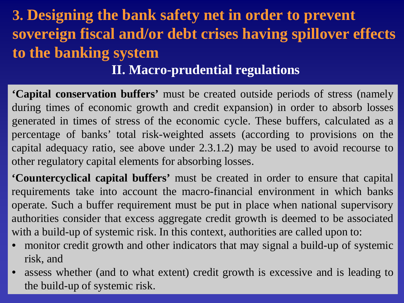# **3. Designing the bank safety net in order to prevent sovereign fiscal and/or debt crises having spillover effects to the banking system II. Macro-prudential regulations**

**'Capital conservation buffers'** must be created outside periods of stress (namely during times of economic growth and credit expansion) in order to absorb losses generated in times of stress of the economic cycle. These buffers, calculated as a percentage of banks' total risk-weighted assets (according to provisions on the capital adequacy ratio, see above under 2.3.1.2) may be used to avoid recourse to other regulatory capital elements for absorbing losses.

**'Countercyclical capital buffers'** must be created in order to ensure that capital requirements take into account the macro-financial environment in which banks operate. Such a buffer requirement must be put in place when national supervisory authorities consider that excess aggregate credit growth is deemed to be associated with a build-up of systemic risk. In this context, authorities are called upon to:

- monitor credit growth and other indicators that may signal a build-up of systemic risk, and
- assess whether (and to what extent) credit growth is excessive and is leading to the build-up of systemic risk.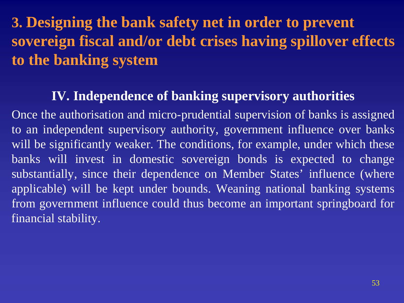# **3. Designing the bank safety net in order to prevent sovereign fiscal and/or debt crises having spillover effects to the banking system**

#### **IV. Independence of banking supervisory authorities**

Once the authorisation and micro-prudential supervision of banks is assigned to an independent supervisory authority, government influence over banks will be significantly weaker. The conditions, for example, under which these banks will invest in domestic sovereign bonds is expected to change substantially, since their dependence on Member States' influence (where applicable) will be kept under bounds. Weaning national banking systems from government influence could thus become an important springboard for financial stability.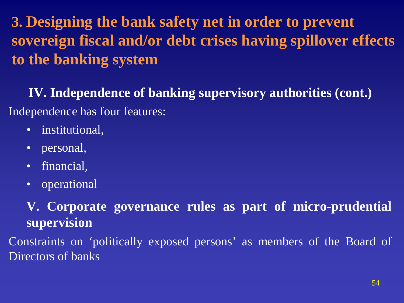# **3. Designing the bank safety net in order to prevent sovereign fiscal and/or debt crises having spillover effects to the banking system**

**IV. Independence of banking supervisory authorities (cont.)** Independence has four features:

- institutional,
- personal,
- financial,
- operational

**V. Corporate governance rules as part of micro-prudential supervision**

Constraints on 'politically exposed persons' as members of the Board of Directors of banks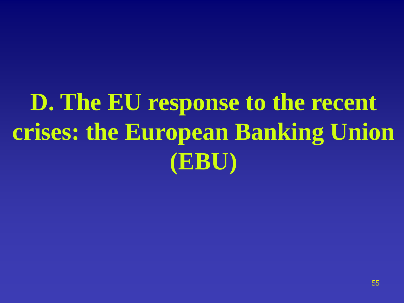# **D. The EU response to the recent crises: the European Banking Union (EBU)**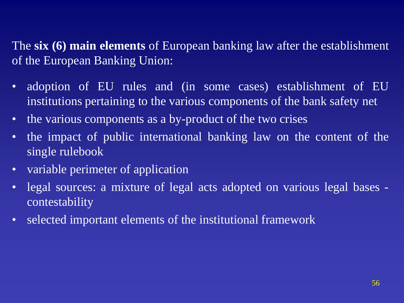The **six (6) main elements** of European banking law after the establishment of the European Banking Union:

- adoption of EU rules and (in some cases) establishment of EU institutions pertaining to the various components of the bank safety net
- the various components as a by-product of the two crises
- the impact of public international banking law on the content of the single rulebook
- variable perimeter of application
- legal sources: a mixture of legal acts adopted on various legal bases contestability
- selected important elements of the institutional framework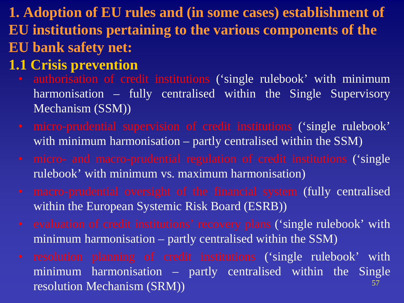**1. Adoption of EU rules and (in some cases) establishment of EU institutions pertaining to the various components of the EU bank safety net:**

## **1.1 Crisis prevention**

- authorisation of credit institutions ('single rulebook' with minimum harmonisation – fully centralised within the Single Supervisory Mechanism (SSM))
- micro-prudential supervision of credit institutions ('single rulebook' with minimum harmonisation – partly centralised within the SSM)
- micro- and macro-prudential regulation of credit institutions ('single rulebook' with minimum vs. maximum harmonisation)
- macro-prudential oversight of the financial system (fully centralised within the European Systemic Risk Board (ESRB))
- evaluation of credit institutions' recovery plans ('single rulebook' with minimum harmonisation – partly centralised within the SSM)
- resolution planning of credit institutions ('single rulebook' with minimum harmonisation – partly centralised within the Single resolution Mechanism (SRM)) 57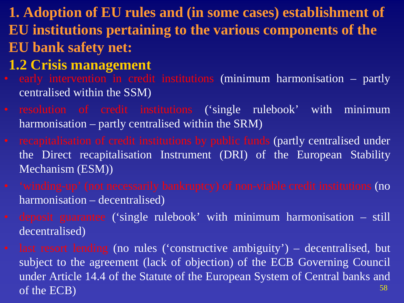- **1. Adoption of EU rules and (in some cases) establishment of EU institutions pertaining to the various components of the EU bank safety net:**
- **1.2 Crisis management**
- early intervention in credit institutions (minimum harmonisation partly centralised within the SSM)
- resolution of credit institutions ('single rulebook' with minimum harmonisation – partly centralised within the SRM)
- recapitalisation of credit institutions by public funds (partly centralised under the Direct recapitalisation Instrument (DRI) of the European Stability Mechanism (ESM))
- 'winding-up' (not necessarily bankruptcy) of non-viable credit institutions (no harmonisation – decentralised)
- deposit guarantee ('single rulebook' with minimum harmonisation still decentralised)
- last resort lending (no rules ('constructive ambiguity') decentralised, but subject to the agreement (lack of objection) of the ECB Governing Council under Article 14.4 of the Statute of the European System of Central banks and of the ECB) and the set of the set of the set of the set of the set of the set of the set of the set of the set of the set of the set of the set of the set of the set of the set of the set of the set of the set of the set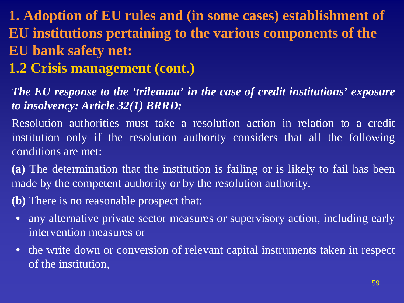# **1. Adoption of EU rules and (in some cases) establishment of EU institutions pertaining to the various components of the EU bank safety net:**

## **1.2 Crisis management (cont.)**

#### *The EU response to the 'trilemma' in the case of credit institutions' exposure to insolvency: Article 32(1) BRRD:*

Resolution authorities must take a resolution action in relation to a credit institution only if the resolution authority considers that all the following conditions are met:

**(a)** The determination that the institution is failing or is likely to fail has been made by the competent authority or by the resolution authority.

**(b)** There is no reasonable prospect that:

- any alternative private sector measures or supervisory action, including early intervention measures or
- the write down or conversion of relevant capital instruments taken in respect of the institution,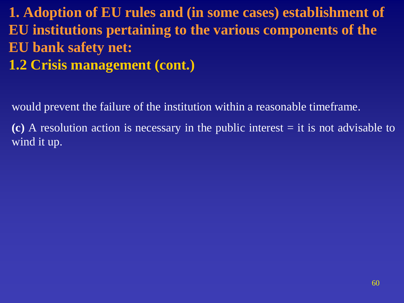**1. Adoption of EU rules and (in some cases) establishment of EU institutions pertaining to the various components of the EU bank safety net: 1.2 Crisis management (cont.)**

would prevent the failure of the institution within a reasonable timeframe.

**(c)** A resolution action is necessary in the public interest = it is not advisable to wind it up.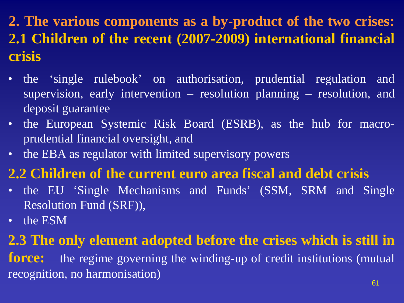**2. The various components as a by-product of the two crises: 2.1 Children of the recent (2007-2009) international financial crisis**

- the 'single rulebook' on authorisation, prudential regulation and supervision, early intervention – resolution planning – resolution, and deposit guarantee
- the European Systemic Risk Board (ESRB), as the hub for macroprudential financial oversight, and
- the EBA as regulator with limited supervisory powers

## **2.2 Children of the current euro area fiscal and debt crisis**

- the EU 'Single Mechanisms and Funds' (SSM, SRM and Single Resolution Fund (SRF)),
- the ESM

## **2.3 The only element adopted before the crises which is still in**

**force:** the regime governing the winding-up of credit institutions (mutual recognition, no harmonisation)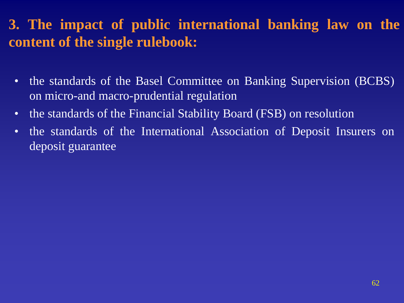## **3. The impact of public international banking law on the content of the single rulebook:**

- the standards of the Basel Committee on Banking Supervision (BCBS) on micro-and macro-prudential regulation
- the standards of the Financial Stability Board (FSB) on resolution
- the standards of the International Association of Deposit Insurers on deposit guarantee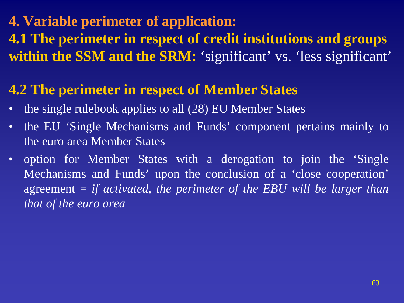# **4. Variable perimeter of application: 4.1 The perimeter in respect of credit institutions and groups within the SSM and the SRM:** 'significant' vs. 'less significant'

## **4.2 The perimeter in respect of Member States**

- the single rulebook applies to all (28) EU Member States
- the EU 'Single Mechanisms and Funds' component pertains mainly to the euro area Member States
- option for Member States with a derogation to join the 'Single Mechanisms and Funds' upon the conclusion of a 'close cooperation' agreement = *if activated, the perimeter of the EBU will be larger than that of the euro area*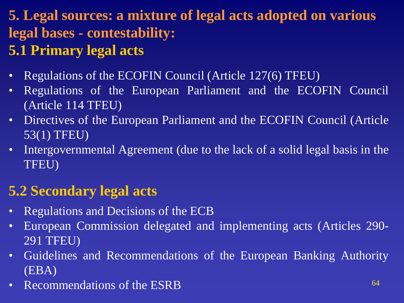# **5. Legal sources: a mixture of legal acts adopted on various legal bases - contestability:**

# **5.1 Primary legal acts**

- Regulations of the ECOFIN Council (Article 127(6) TFEU)
- Regulations of the European Parliament and the ECOFIN Council (Article 114 TFEU)
- Directives of the European Parliament and the ECOFIN Council (Article) 53(1) TFEU)
- Intergovernmental Agreement (due to the lack of a solid legal basis in the TFEU)

# **5.2 Secondary legal acts**

- Regulations and Decisions of the ECB
- European Commission delegated and implementing acts (Articles 290- 291 TFEU)
- Guidelines and Recommendations of the European Banking Authority (EBA)
- Recommendations of the ESRB 64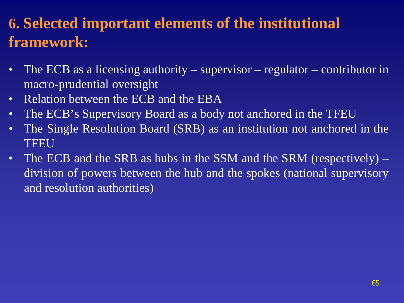# **6. Selected important elements of the institutional framework:**

- The ECB as a licensing authority supervisor regulator contributor in macro-prudential oversight
- Relation between the ECB and the EBA
- The ECB's Supervisory Board as a body not anchored in the TFEU
- The Single Resolution Board (SRB) as an institution not anchored in the TFEU
- The ECB and the SRB as hubs in the SSM and the SRM (respectively) division of powers between the hub and the spokes (national supervisory and resolution authorities)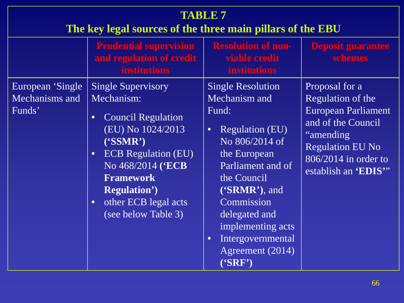| <b>TABLE 7</b><br>The key legal sources of the three main pillars of the EBU |                                                                                                                                                                                                                                                                                                                  |                                                                                                                                                                                                                                                                                                                    |                                                                                                                                                                                  |
|------------------------------------------------------------------------------|------------------------------------------------------------------------------------------------------------------------------------------------------------------------------------------------------------------------------------------------------------------------------------------------------------------|--------------------------------------------------------------------------------------------------------------------------------------------------------------------------------------------------------------------------------------------------------------------------------------------------------------------|----------------------------------------------------------------------------------------------------------------------------------------------------------------------------------|
|                                                                              | <b>Prudential supervision</b><br>and regulation of credit<br><b>institutions</b>                                                                                                                                                                                                                                 | <b>Resolution of non-</b><br>viable credit<br><b>institutions</b>                                                                                                                                                                                                                                                  | <b>Deposit guarantee</b><br>schemes                                                                                                                                              |
| European 'Single<br>Mechanisms and<br>Funds'                                 | <b>Single Supervisory</b><br>Mechanism:<br><b>Council Regulation</b><br>$\bullet$<br>$\sqrt{\text{EU}}\,\text{N}_0\,1024/2013$<br>(SSMR')<br><b>ECB</b> Regulation (EU)<br>$\bullet$<br>No 468/2014 ('ECB<br><b>Framework</b><br><b>Regulation')</b><br>other ECB legal acts<br>$\bullet$<br>(see below Table 3) | <b>Single Resolution</b><br>Mechanism and<br>Fund:<br><b>Regulation (EU)</b><br>$\bullet$<br>No 806/2014 of<br>the European<br>Parliament and of<br>the Council<br>$(SRMR$ <sup>2</sup> ), and<br>Commission<br>delegated and<br>implementing acts<br>Intergovernmental<br>$\bullet$<br>Agreement (2014)<br>(SRF') | Proposal for a<br>Regulation of the<br><b>European Parliament</b><br>and of the Council<br>"amending"<br><b>Regulation EU No</b><br>806/2014 in order to<br>establish an 'EDIS'" |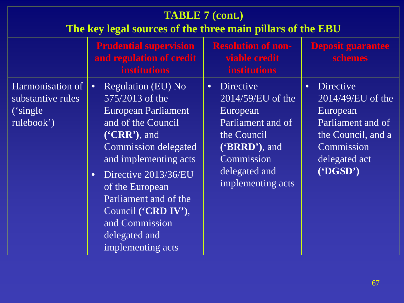| <b>TABLE 7 (cont.)</b><br>The key legal sources of the three main pillars of the EBU |                                                                                                                                                                                                                                                                                                                                                                      |                                                                                                                                                                            |                                                                                                                                                         |  |
|--------------------------------------------------------------------------------------|----------------------------------------------------------------------------------------------------------------------------------------------------------------------------------------------------------------------------------------------------------------------------------------------------------------------------------------------------------------------|----------------------------------------------------------------------------------------------------------------------------------------------------------------------------|---------------------------------------------------------------------------------------------------------------------------------------------------------|--|
|                                                                                      | <b>Prudential supervision</b><br>and regulation of credit<br><b>institutions</b>                                                                                                                                                                                                                                                                                     | <b>Resolution of non-</b><br>viable credit<br><b>institutions</b>                                                                                                          | <b>Deposit guarantee</b><br>schemes                                                                                                                     |  |
| Harmonisation of<br>substantive rules<br>('single)<br>rulebook')                     | <b>Regulation (EU) No</b><br>$\bullet$<br>575/2013 of the<br><b>European Parliament</b><br>and of the Council<br>$(^{\circ}CRR$ <sup>2</sup> ), and<br>Commission delegated<br>and implementing acts<br>Directive 2013/36/EU<br>$\bullet$<br>of the European<br>Parliament and of the<br>Council ('CRD IV'),<br>and Commission<br>delegated and<br>implementing acts | <b>Directive</b><br>$\bullet$<br>$2014/59/EU$ of the<br>European<br>Parliament and of<br>the Council<br>$(BRRD)$ , and<br>Commission<br>delegated and<br>implementing acts | Directive<br>$\bullet$<br>$2014/49$ /EU of the<br>European<br>Parliament and of<br>the Council, and a<br>Commission<br>delegated act<br>( <b>DGSD</b> ) |  |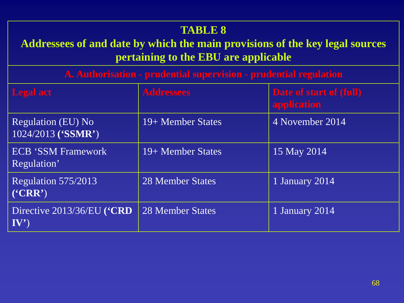#### **TABLE 8**

#### **Addressees of and date by which the main provisions of the key legal sources pertaining to the EBU are applicable**

**A. Authorisation - prudential supervision - prudential regulation**

| <b>Legal act</b>                               | <b>Addressees</b>       | Date of start of (full)<br>application |
|------------------------------------------------|-------------------------|----------------------------------------|
| Regulation (EU) No<br>1024/2013 ('SSMR')       | 19+ Member States       | 4 November 2014                        |
| <b>ECB 'SSM Framework</b><br>Regulation'       | 19+ Member States       | 15 May 2014                            |
| Regulation 575/2013<br>$(^{\circ}CRR^{\circ})$ | <b>28 Member States</b> | 1 January 2014                         |
| Directive 2013/36/EU ('CRD<br>$\mathbf{IV'}$   | 28 Member States        | 1 January 2014                         |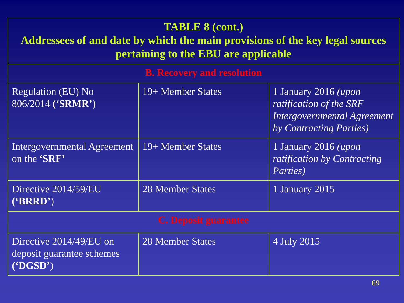| <b>TABLE 8 (cont.)</b><br>Addressees of and date by which the main provisions of the key legal sources<br>pertaining to the EBU are applicable |                                   |                                                                                                                   |  |
|------------------------------------------------------------------------------------------------------------------------------------------------|-----------------------------------|-------------------------------------------------------------------------------------------------------------------|--|
|                                                                                                                                                | <b>B.</b> Recovery and resolution |                                                                                                                   |  |
| <b>Regulation (EU) No</b><br>806/2014 ('SRMR')                                                                                                 | 19+ Member States                 | 1 January 2016 ( <i>upon</i><br>ratification of the SRF<br>Intergovernmental Agreement<br>by Contracting Parties) |  |
| Intergovernmental Agreement<br>on the 'SRF'                                                                                                    | 19+ Member States                 | 1 January 2016 ( <i>upon</i><br>ratification by Contracting<br><i>Parties</i> )                                   |  |
| Directive 2014/59/EU<br>$(^{\circ}BRRD)$                                                                                                       | <b>28 Member States</b>           | 1 January 2015                                                                                                    |  |
| <b>C. Deposit guarantee</b>                                                                                                                    |                                   |                                                                                                                   |  |
| Directive 2014/49/EU on<br>deposit guarantee schemes<br>$(^{\circ}DGSD^{\circ})$                                                               | 28 Member States                  | 4 July 2015                                                                                                       |  |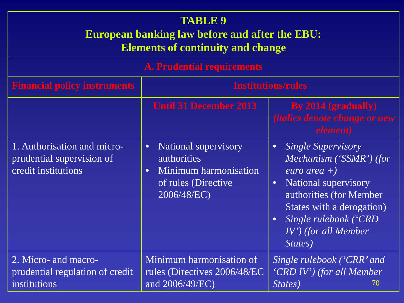#### **TABLE 9 European banking law before and after the EBU: Elements of continuity and change**

| <b>A. Prudential requirements</b>                                               |                                                                                                                                            |                                                                                                                                                                                                                                                              |  |
|---------------------------------------------------------------------------------|--------------------------------------------------------------------------------------------------------------------------------------------|--------------------------------------------------------------------------------------------------------------------------------------------------------------------------------------------------------------------------------------------------------------|--|
| <b>Financial policy instruments</b>                                             | <b>Institutions/rules</b>                                                                                                                  |                                                                                                                                                                                                                                                              |  |
|                                                                                 | <b>Until 31 December 2013</b>                                                                                                              | By 2014 (gradually)<br><i><b>(italics denote change or new</b></i><br>element)                                                                                                                                                                               |  |
| 1. Authorisation and micro-<br>prudential supervision of<br>credit institutions | <b>National supervisory</b><br>$\bullet$<br><i>authorities</i><br>Minimum harmonisation<br>$\bullet$<br>of rules (Directive<br>2006/48/EC) | <i>Single Supervisory</i><br>$\bullet$<br>Mechanism ('SSMR') (for<br>euro area $+)$<br>National supervisory<br>$\bullet$<br>authorities (for Member<br>States with a derogation)<br>Single rulebook ('CRD<br>$\bullet$<br>$IV'$ ) (for all Member<br>States) |  |
| 2. Micro- and macro-<br>prudential regulation of credit<br>institutions         | Minimum harmonisation of<br>rules (Directives 2006/48/EC<br>and 2006/49/EC)                                                                | Single rulebook ('CRR' and<br>'CRD IV') (for all Member<br>States)<br>70                                                                                                                                                                                     |  |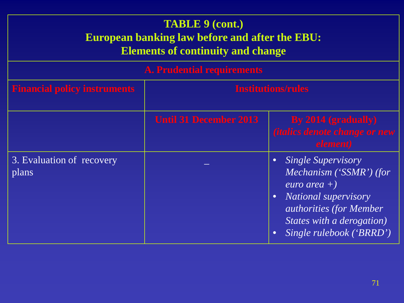#### **TABLE 9 (cont.) European banking law before and after the EBU: Elements of continuity and change**

|  | <b>A. Prudential requirements</b> |  |
|--|-----------------------------------|--|
|  |                                   |  |

| <b>Financial policy instruments</b> | <b>Institutions/rules</b>     |                                                                                                                                                                                             |
|-------------------------------------|-------------------------------|---------------------------------------------------------------------------------------------------------------------------------------------------------------------------------------------|
|                                     | <b>Until 31 December 2013</b> | By 2014 (gradually)<br><i><b>(italics denote change or new</b></i><br>element)                                                                                                              |
| 3. Evaluation of recovery<br>plans  |                               | Single Supervisory<br>Mechanism ('SSMR') (for<br>euro area $+$ )<br><b>National supervisory</b><br><i>authorities (for Member)</i><br>States with a derogation)<br>Single rulebook ('BRRD') |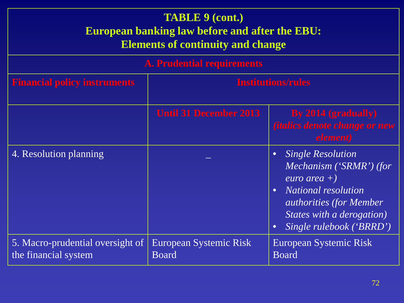#### **TABLE 9 (cont.) European banking law before and after the EBU: Elements of continuity and change**

| <b>A. Prudential requirements</b>                        |                                        |                                                                                                                                                                                                                                         |  |
|----------------------------------------------------------|----------------------------------------|-----------------------------------------------------------------------------------------------------------------------------------------------------------------------------------------------------------------------------------------|--|
| <b>Financial policy instruments</b>                      | <b>Institutions/rules</b>              |                                                                                                                                                                                                                                         |  |
|                                                          | <b>Until 31 December 2013</b>          | By 2014 (gradually)<br><i><b>(italics denote change or new</b></i><br>element)                                                                                                                                                          |  |
| 4. Resolution planning                                   |                                        | <b>Single Resolution</b><br>$\bullet$<br>Mechanism ('SRMR') (for<br>euro area $+$ )<br><b>National resolution</b><br>$\bullet$<br><i>authorities (for Member)</i><br>States with a derogation)<br>Single rulebook ('BRRD')<br>$\bullet$ |  |
| 5. Macro-prudential oversight of<br>the financial system | European Systemic Risk<br><b>Board</b> | European Systemic Risk<br><b>Board</b>                                                                                                                                                                                                  |  |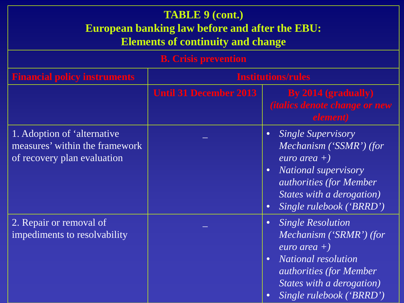| <b>TABLE 9 (cont.)</b><br><b>European banking law before and after the EBU:</b><br><b>Elements of continuity and change</b> |                               |                                                                                                                                                                                                                                           |  |  |
|-----------------------------------------------------------------------------------------------------------------------------|-------------------------------|-------------------------------------------------------------------------------------------------------------------------------------------------------------------------------------------------------------------------------------------|--|--|
| <b>B.</b> Crisis prevention                                                                                                 |                               |                                                                                                                                                                                                                                           |  |  |
| <b>Financial policy instruments</b>                                                                                         | <b>Institutions/rules</b>     |                                                                                                                                                                                                                                           |  |  |
|                                                                                                                             | <b>Until 31 December 2013</b> | By 2014 (gradually)<br><i><b>(italics denote change or new</b></i><br>element)                                                                                                                                                            |  |  |
| 1. Adoption of 'alternative<br>measures' within the framework<br>of recovery plan evaluation                                |                               | <b>Single Supervisory</b><br>$\bullet$<br>Mechanism ('SSMR') (for<br>euro area $+$ )<br><b>National supervisory</b><br>$\bullet$<br><i>authorities (for Member)</i><br>States with a derogation)<br>Single rulebook ('BRRD')<br>$\bullet$ |  |  |
| 2. Repair or removal of<br>impediments to resolvability                                                                     |                               | <b>Single Resolution</b><br>$\bullet$<br>Mechanism ('SRMR') (for<br>euro area $+)$<br><b>National resolution</b><br><i>authorities (for Member)</i><br>States with a derogation)<br>Single rulebook ('BRRD')<br>$\bullet$                 |  |  |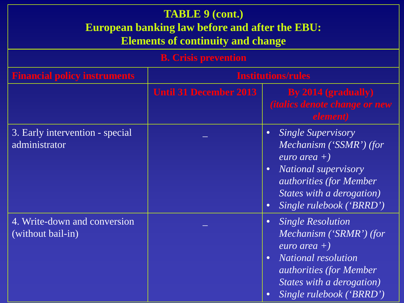| <b>TABLE 9 (cont.)</b><br><b>European banking law before and after the EBU:</b><br><b>Elements of continuity and change</b> |                               |                                                                                                                                                                                                                                          |  |  |
|-----------------------------------------------------------------------------------------------------------------------------|-------------------------------|------------------------------------------------------------------------------------------------------------------------------------------------------------------------------------------------------------------------------------------|--|--|
| <b>B.</b> Crisis prevention                                                                                                 |                               |                                                                                                                                                                                                                                          |  |  |
| <b>Financial policy instruments</b>                                                                                         | <b>Institutions/rules</b>     |                                                                                                                                                                                                                                          |  |  |
|                                                                                                                             | <b>Until 31 December 2013</b> | By 2014 (gradually)<br><i><b>(italics denote change or new</b></i><br>element)                                                                                                                                                           |  |  |
| 3. Early intervention - special<br>administrator                                                                            |                               | <b>Single Supervisory</b><br>$\bullet$<br>Mechanism ('SSMR') (for<br>euro area $+)$<br><b>National supervisory</b><br>$\bullet$<br><i>authorities (for Member)</i><br>States with a derogation)<br>Single rulebook ('BRRD')<br>$\bullet$ |  |  |
| 4. Write-down and conversion<br>(without bail-in)                                                                           |                               | <b>Single Resolution</b><br>$\bullet$<br>Mechanism ('SRMR') (for<br>euro area $+)$<br>National resolution<br><i>authorities (for Member)</i><br>States with a derogation)<br>Single rulebook ('BRRD')<br>$\bullet$                       |  |  |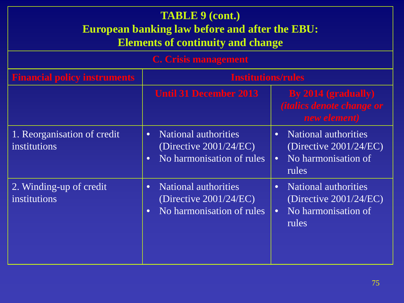| <b>TABLE 9 (cont.)</b><br><b>European banking law before and after the EBU:</b><br><b>Elements of continuity and change</b><br><b>C.</b> Crisis management |                                                                                                                 |                                                                                                                    |  |  |
|------------------------------------------------------------------------------------------------------------------------------------------------------------|-----------------------------------------------------------------------------------------------------------------|--------------------------------------------------------------------------------------------------------------------|--|--|
| <b>Financial policy instruments</b>                                                                                                                        | <b>Institutions/rules</b>                                                                                       |                                                                                                                    |  |  |
|                                                                                                                                                            | <b>Until 31 December 2013</b>                                                                                   | By 2014 (gradually)<br><i><b>(italics denote change or</b></i><br>new element)                                     |  |  |
| 1. Reorganisation of credit<br>institutions                                                                                                                | <b>National authorities</b><br>$\bullet$<br>(Directive $2001/24/EC$ )<br>No harmonisation of rules<br>$\bullet$ | <b>National authorities</b><br>$\bullet$<br>(Directive $2001/24/EC$ )<br>No harmonisation of<br>$\bullet$<br>rules |  |  |
| 2. Winding-up of credit<br>institutions                                                                                                                    | <b>National authorities</b><br>$\bullet$<br>(Directive $2001/24/EC$ )<br>No harmonisation of rules<br>$\bullet$ | <b>National authorities</b><br>$\bullet$<br>(Directive $2001/24/EC$ )<br>No harmonisation of<br>$\bullet$<br>rules |  |  |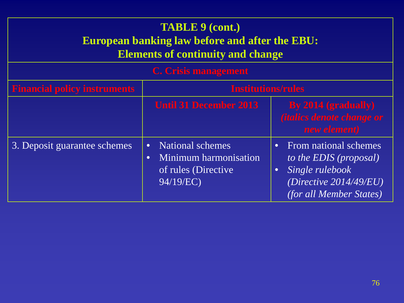# **TABLE 9 (cont.) European banking law before and after the EBU: Elements of continuity and change**

#### **C. Crisis management**

| <b>Financial policy instruments</b> | <b>Institutions/rules</b>                                                                               |                                                                                                                                                |  |
|-------------------------------------|---------------------------------------------------------------------------------------------------------|------------------------------------------------------------------------------------------------------------------------------------------------|--|
|                                     | <b>Until 31 December 2013</b>                                                                           | By 2014 (gradually)<br><i><b>(italics denote change or</b></i><br>new element)                                                                 |  |
| 3. Deposit guarantee schemes        | National schemes<br>$\bullet$<br>Minimum harmonisation<br>$\bullet$<br>of rules (Directive<br>94/19/EC) | From national schemes<br>$\bullet$<br>to the EDIS (proposal)<br>Single rulebook<br>(Directive $2014/49/EU$ )<br><i>(for all Member States)</i> |  |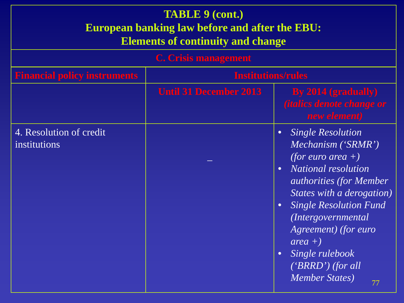| <b>TABLE 9 (cont.)</b><br><b>European banking law before and after the EBU:</b><br><b>Elements of continuity and change</b> |                               |                                                                                                                                                                                                                                                                                                                                                                                                      |  |
|-----------------------------------------------------------------------------------------------------------------------------|-------------------------------|------------------------------------------------------------------------------------------------------------------------------------------------------------------------------------------------------------------------------------------------------------------------------------------------------------------------------------------------------------------------------------------------------|--|
|                                                                                                                             | <b>C.</b> Crisis management   |                                                                                                                                                                                                                                                                                                                                                                                                      |  |
| <b>Financial policy instruments</b>                                                                                         | <b>Institutions/rules</b>     |                                                                                                                                                                                                                                                                                                                                                                                                      |  |
|                                                                                                                             | <b>Until 31 December 2013</b> | By 2014 (gradually)<br><i><b>(italics denote change or</b></i><br>new element)                                                                                                                                                                                                                                                                                                                       |  |
| 4. Resolution of credit<br>institutions                                                                                     |                               | <b>Single Resolution</b><br>$\bullet$<br>Mechanism ('SRMR')<br>(for euro area $+)$<br><b>National resolution</b><br>$\bullet$<br><i>authorities (for Member)</i><br>States with a derogation)<br><b>Single Resolution Fund</b><br>$\bullet$<br><i>(Intergovernmental)</i><br>Agreement) (for euro<br>$area +$<br>Single rulebook<br>$\bullet$<br>$('BRRD')$ (for all<br><b>Member States</b> )<br>77 |  |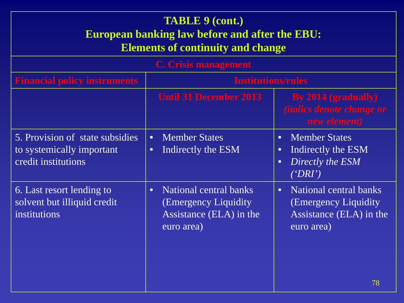| <b>TABLE 9 (cont.)</b><br><b>European banking law before and after the EBU:</b><br><b>Elements of continuity and change</b> |                                                                                                       |                                                                                                                |  |
|-----------------------------------------------------------------------------------------------------------------------------|-------------------------------------------------------------------------------------------------------|----------------------------------------------------------------------------------------------------------------|--|
|                                                                                                                             | C. Crisis management                                                                                  |                                                                                                                |  |
| <b>Financial policy instruments</b>                                                                                         | <b>Institutions/rules</b>                                                                             |                                                                                                                |  |
|                                                                                                                             | <b>Until 31 December 2013</b>                                                                         | By $2014$ (gradually)<br><i><b>(italics denote change or</b></i><br>new element)                               |  |
| 5. Provision of state subsidies<br>to systemically important<br>credit institutions                                         | <b>Member States</b><br>$\bullet$<br>Indirectly the ESM<br>$\bullet$                                  | <b>Member States</b><br>$\bullet$<br>Indirectly the ESM<br>$\bullet$<br>Directly the ESM<br>$\bullet$<br>(PRT) |  |
| 6. Last resort lending to<br>solvent but illiquid credit<br>institutions                                                    | National central banks<br>$\bullet$<br>(Emergency Liquidity)<br>Assistance (ELA) in the<br>euro area) | <b>National central banks</b><br>$\bullet$<br>(Emergency Liquidity)<br>Assistance (ELA) in the<br>euro area)   |  |
|                                                                                                                             |                                                                                                       | 78                                                                                                             |  |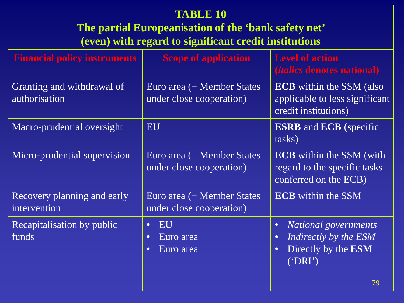| <b>TABLE 10</b><br>The partial Europeanisation of the 'bank safety net'<br>(even) with regard to significant credit institutions |                                                                     |                                                                                                                              |  |  |
|----------------------------------------------------------------------------------------------------------------------------------|---------------------------------------------------------------------|------------------------------------------------------------------------------------------------------------------------------|--|--|
| <b>Financial policy instruments</b>                                                                                              | <b>Scope of application</b>                                         | <b>Level of action</b><br><i>(italics denotes national)</i>                                                                  |  |  |
| Granting and withdrawal of<br>authorisation                                                                                      | Euro area (+ Member States<br>under close cooperation)              | <b>ECB</b> within the SSM (also<br>applicable to less significant<br>credit institutions)                                    |  |  |
| Macro-prudential oversight                                                                                                       | <b>EU</b>                                                           | <b>ESRB</b> and <b>ECB</b> (specific<br>tasks)                                                                               |  |  |
| Micro-prudential supervision                                                                                                     | Euro area (+ Member States<br>under close cooperation)              | <b>ECB</b> within the SSM (with<br>regard to the specific tasks<br>conferred on the ECB)                                     |  |  |
| Recovery planning and early<br>intervention                                                                                      | Euro area (+ Member States<br>under close cooperation)              | <b>ECB</b> within the SSM                                                                                                    |  |  |
| Recapitalisation by public<br>funds                                                                                              | EU<br>$\bullet$<br>Euro area<br>$\bullet$<br>Euro area<br>$\bullet$ | National governments<br>$\bullet$<br>Indirectly by the ESM<br>$\bullet$<br>Directly by the ESM<br>$\bullet$<br>("DRI")<br>79 |  |  |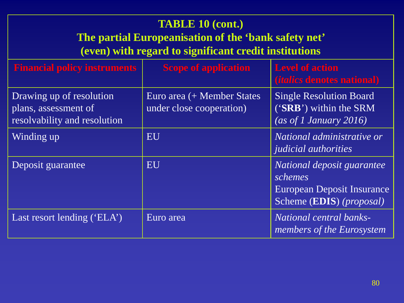| <b>TABLE 10 (cont.)</b><br>The partial Europeanisation of the 'bank safety net'<br>(even) with regard to significant credit institutions |                                                        |                                                                                                          |  |  |
|------------------------------------------------------------------------------------------------------------------------------------------|--------------------------------------------------------|----------------------------------------------------------------------------------------------------------|--|--|
| <b>Financial policy instruments</b>                                                                                                      | <b>Scope of application</b>                            | <b>Level of action</b><br><i>(italics denotes national)</i>                                              |  |  |
| Drawing up of resolution<br>plans, assessment of<br>resolvability and resolution                                                         | Euro area (+ Member States<br>under close cooperation) | <b>Single Resolution Board</b><br>('SRB') within the SRM<br>(as of 1 January $\overline{2016}$ )         |  |  |
| Winding up                                                                                                                               | EU                                                     | National administrative or<br><i>judicial authorities</i>                                                |  |  |
| Deposit guarantee                                                                                                                        | EU                                                     | National deposit guarantee<br>schemes<br>European Deposit Insurance<br>Scheme (EDIS) ( <i>proposal</i> ) |  |  |
| Last resort lending ('ELA')                                                                                                              | Euro area                                              | National central banks-<br>members of the Eurosystem                                                     |  |  |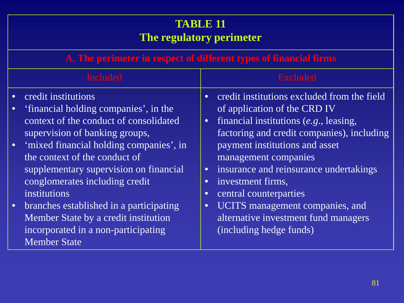|                                                  | <b>TABLE 11</b><br>The regulatory perimeter                                                                                                                                                                                                                                                                                                                                                                                                                              |                                                                            |                                                                                                                                                                                                                                                                                                                                                                                                                                |  |
|--------------------------------------------------|--------------------------------------------------------------------------------------------------------------------------------------------------------------------------------------------------------------------------------------------------------------------------------------------------------------------------------------------------------------------------------------------------------------------------------------------------------------------------|----------------------------------------------------------------------------|--------------------------------------------------------------------------------------------------------------------------------------------------------------------------------------------------------------------------------------------------------------------------------------------------------------------------------------------------------------------------------------------------------------------------------|--|
|                                                  | A. The perimeter in respect of different types of financial firms                                                                                                                                                                                                                                                                                                                                                                                                        |                                                                            |                                                                                                                                                                                                                                                                                                                                                                                                                                |  |
|                                                  | <b>Included</b><br><b>Excluded</b>                                                                                                                                                                                                                                                                                                                                                                                                                                       |                                                                            |                                                                                                                                                                                                                                                                                                                                                                                                                                |  |
| $\bullet$<br>$\bullet$<br>$\bullet$<br>$\bullet$ | credit institutions<br>'financial holding companies', in the<br>context of the conduct of consolidated<br>supervision of banking groups,<br>'mixed financial holding companies', in<br>the context of the conduct of<br>supplementary supervision on financial<br>conglomerates including credit<br><i>institutions</i><br>branches established in a participating<br>Member State by a credit institution<br>incorporated in a non-participating<br><b>Member State</b> | $\bullet$<br>$\bullet$<br>$\bullet$<br>$\bullet$<br>$\bullet$<br>$\bullet$ | credit institutions excluded from the field<br>of application of the CRD IV<br>financial institutions $(e.g., leasing,$<br>factoring and credit companies), including<br>payment institutions and asset<br>management companies<br>insurance and reinsurance undertakings<br>investment firms,<br>central counterparties<br>UCITS management companies, and<br>alternative investment fund managers<br>(including hedge funds) |  |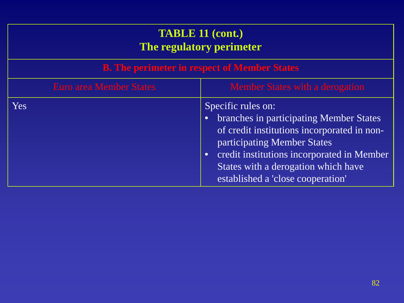| <b>TABLE 11 (cont.)</b><br>The regulatory perimeter               |                                                                                                                                                                                                                                                                                                 |  |
|-------------------------------------------------------------------|-------------------------------------------------------------------------------------------------------------------------------------------------------------------------------------------------------------------------------------------------------------------------------------------------|--|
| <b>B.</b> The perimeter in respect of Member States               |                                                                                                                                                                                                                                                                                                 |  |
| <b>Euro area Member States</b><br>Member States with a derogation |                                                                                                                                                                                                                                                                                                 |  |
| Yes <sup>-</sup>                                                  | Specific rules on:<br>branches in participating Member States<br>$\bullet$<br>of credit institutions incorporated in non-<br>participating Member States<br>credit institutions incorporated in Member<br>$\bullet$<br>States with a derogation which have<br>established a 'close cooperation' |  |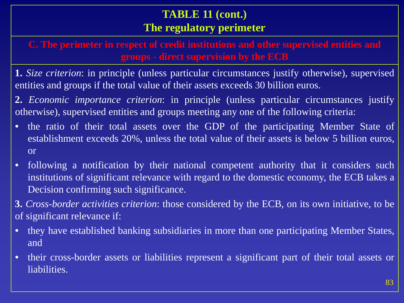## **TABLE 11 (cont.) The regulatory perimeter**

**C. The perimeter in respect of credit institutions and other supervised entities and groups - direct supervision by the ECB**

**1.** *Size criterion*: in principle (unless particular circumstances justify otherwise), supervised entities and groups if the total value of their assets exceeds 30 billion euros.

**2.** *Economic importance criterion*: in principle (unless particular circumstances justify otherwise), supervised entities and groups meeting any one of the following criteria:

- the ratio of their total assets over the GDP of the participating Member State of establishment exceeds 20%, unless the total value of their assets is below 5 billion euros, or
- following a notification by their national competent authority that it considers such institutions of significant relevance with regard to the domestic economy, the ECB takes a Decision confirming such significance.

**3.** *Cross-border activities criterion*: those considered by the ECB, on its own initiative, to be of significant relevance if:

- they have established banking subsidiaries in more than one participating Member States, and
- their cross-border assets or liabilities represent a significant part of their total assets or liabilities.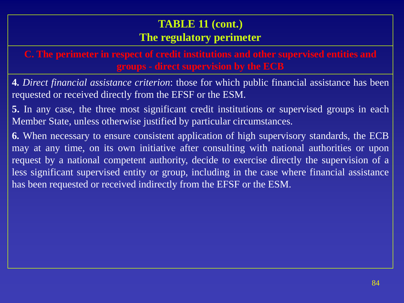# **TABLE 11 (cont.) The regulatory perimeter**

**C. The perimeter in respect of credit institutions and other supervised entities and groups - direct supervision by the ECB**

**4.** *Direct financial assistance criterion*: those for which public financial assistance has been requested or received directly from the EFSF or the ESM.

**5.** In any case, the three most significant credit institutions or supervised groups in each Member State, unless otherwise justified by particular circumstances.

**6.** When necessary to ensure consistent application of high supervisory standards, the ECB may at any time, on its own initiative after consulting with national authorities or upon request by a national competent authority, decide to exercise directly the supervision of a less significant supervised entity or group, including in the case where financial assistance has been requested or received indirectly from the EFSF or the ESM.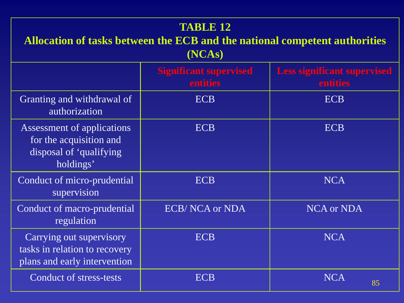#### **TABLE 12**

## **Allocation of tasks between the ECB and the national competent authorities (NCAs)**

|                                                                                               | <b>Significant supervised</b><br>entities | <b>Less significant supervised</b><br>entities |
|-----------------------------------------------------------------------------------------------|-------------------------------------------|------------------------------------------------|
| Granting and withdrawal of<br>authorization                                                   | <b>ECB</b>                                | <b>ECB</b>                                     |
| Assessment of applications<br>for the acquisition and<br>disposal of 'qualifying<br>holdings' | <b>ECB</b>                                | <b>ECB</b>                                     |
| Conduct of micro-prudential<br>supervision                                                    | <b>ECB</b>                                | <b>NCA</b>                                     |
| Conduct of macro-prudential<br>regulation                                                     | <b>ECB/NCA or NDA</b>                     | <b>NCA</b> or NDA                              |
| Carrying out supervisory<br>tasks in relation to recovery<br>plans and early intervention     | <b>ECB</b>                                | <b>NCA</b>                                     |
| <b>Conduct of stress-tests</b>                                                                | ECB                                       | <b>NCA</b><br>85                               |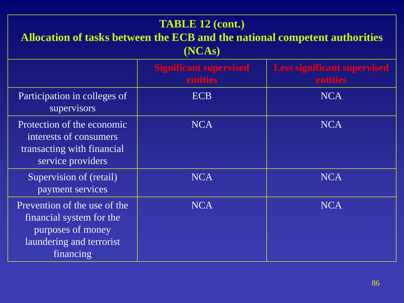| <b>TABLE 12 (cont.)</b><br>Allocation of tasks between the ECB and the national competent authorities<br>(NCAs)        |                                                  |                                                |  |  |
|------------------------------------------------------------------------------------------------------------------------|--------------------------------------------------|------------------------------------------------|--|--|
|                                                                                                                        | <b>Significant supervised</b><br><b>entities</b> | <b>Less significant supervised</b><br>entities |  |  |
| Participation in colleges of<br>supervisors                                                                            | <b>ECB</b>                                       | <b>NCA</b>                                     |  |  |
| Protection of the economic<br>interests of consumers<br>transacting with financial<br>service providers                | <b>NCA</b>                                       | <b>NCA</b>                                     |  |  |
| Supervision of (retail)<br>payment services                                                                            | <b>NCA</b>                                       | <b>NCA</b>                                     |  |  |
| Prevention of the use of the<br>financial system for the<br>purposes of money<br>laundering and terrorist<br>financing | <b>NCA</b>                                       | <b>NCA</b>                                     |  |  |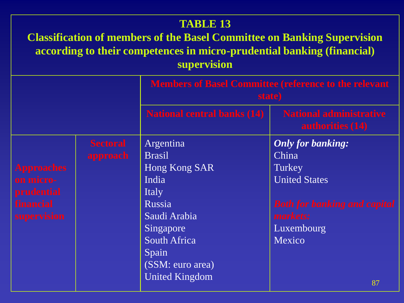#### **TABLE 13**

## **Classification of members of the Basel Committee on Banking Supervision according to their competences in micro-prudential banking (financial) supervision**

|                   |                 | <b>Members of Basel Committee (reference to the relevant</b><br>state) |                                                    |
|-------------------|-----------------|------------------------------------------------------------------------|----------------------------------------------------|
|                   |                 | <b>National central banks (14)</b>                                     | <b>National administrative</b><br>authorities (14) |
|                   | <b>Sectoral</b> | Argentina                                                              | <b>Only for banking:</b>                           |
|                   | approach        | <b>Brasil</b>                                                          | China                                              |
| <b>Approaches</b> |                 | Hong Kong SAR                                                          | Turkey                                             |
| on micro-         |                 | India                                                                  | <b>United States</b>                               |
| prudential        |                 | Italy                                                                  |                                                    |
| financial         |                 | Russia                                                                 | <b>Both for banking and capital</b>                |
| supervision       |                 | Saudi Arabia                                                           | markets:                                           |
|                   |                 | Singapore                                                              | Luxembourg                                         |
|                   |                 | <b>South Africa</b>                                                    | Mexico                                             |
|                   |                 | Spain                                                                  |                                                    |
|                   |                 | (SSM: euro area)                                                       |                                                    |
|                   |                 | <b>United Kingdom</b>                                                  |                                                    |
|                   |                 |                                                                        | 87                                                 |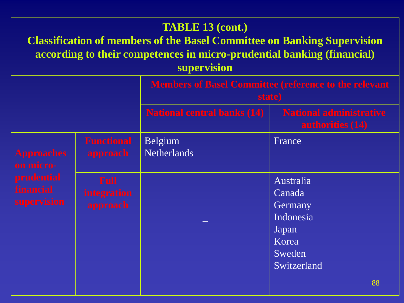|                                                                                        |                                        | <b>TABLE 13 (cont.)</b><br><b>Classification of members of the Basel Committee on Banking Supervision</b><br>according to their competences in micro-prudential banking (financial)<br>supervision |                                                                                        |
|----------------------------------------------------------------------------------------|----------------------------------------|----------------------------------------------------------------------------------------------------------------------------------------------------------------------------------------------------|----------------------------------------------------------------------------------------|
|                                                                                        |                                        | <b>Members of Basel Committee (reference to the relevant</b><br>state)                                                                                                                             |                                                                                        |
|                                                                                        |                                        | <b>National central banks (14)</b>                                                                                                                                                                 | <b>National administrative</b><br><b>authorities</b> (14)                              |
| <b>Approaches</b><br>on micro-<br><b>prudential</b><br><b>financial</b><br>supervision | <b>Functional</b><br>approach          | Belgium<br><b>Netherlands</b>                                                                                                                                                                      | France                                                                                 |
|                                                                                        | <b>Full</b><br>integration<br>approach |                                                                                                                                                                                                    | Australia<br>Canada<br>Germany<br>Indonesia<br>Japan<br>Korea<br>Sweden<br>Switzerland |
|                                                                                        |                                        |                                                                                                                                                                                                    | 88                                                                                     |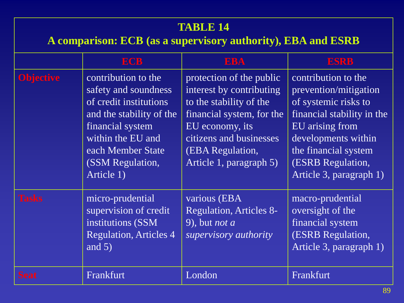| <b>TABLE 14</b><br>A comparison: ECB (as a supervisory authority), EBA and ESRB |                                                                                                                                                                                                   |                                                                                                                                                                                                           |                                                                                                                                                                                                                      |  |  |  |  |
|---------------------------------------------------------------------------------|---------------------------------------------------------------------------------------------------------------------------------------------------------------------------------------------------|-----------------------------------------------------------------------------------------------------------------------------------------------------------------------------------------------------------|----------------------------------------------------------------------------------------------------------------------------------------------------------------------------------------------------------------------|--|--|--|--|
|                                                                                 | <b>ECB</b>                                                                                                                                                                                        | <b>EBA</b>                                                                                                                                                                                                | <b>ESRB</b>                                                                                                                                                                                                          |  |  |  |  |
| <b>Objective</b>                                                                | contribution to the<br>safety and soundness<br>of credit institutions<br>and the stability of the<br>financial system<br>within the EU and<br>each Member State<br>(SSM Regulation,<br>Article 1) | protection of the public<br>interest by contributing<br>to the stability of the<br>financial system, for the<br>EU economy, its<br>citizens and businesses<br>(EBA Regulation,<br>Article 1, paragraph 5) | contribution to the<br>prevention/mitigation<br>of systemic risks to<br>financial stability in the<br>EU arising from<br>developments within<br>the financial system<br>(ESRB Regulation,<br>Article 3, paragraph 1) |  |  |  |  |
| <b>Tasks</b>                                                                    | micro-prudential<br>supervision of credit<br>institutions (SSM<br><b>Regulation, Articles 4</b><br>and $5)$                                                                                       | various (EBA<br><b>Regulation, Articles 8-</b><br>9), but <i>not a</i><br>supervisory authority                                                                                                           | macro-prudential<br>oversight of the<br>financial system<br>(ESRB Regulation,<br>Article 3, paragraph 1)                                                                                                             |  |  |  |  |
| <b>Seat</b>                                                                     | Frankfurt                                                                                                                                                                                         | London                                                                                                                                                                                                    | Frankfurt                                                                                                                                                                                                            |  |  |  |  |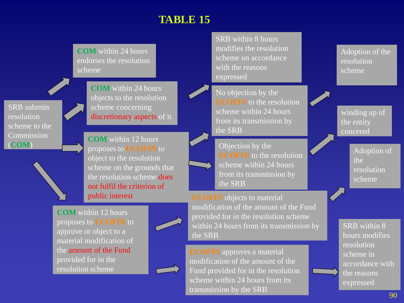# **TABLE 15**

**COM** within 24 hours endorses the resolution scheme

SRB submits resolution scheme to the **Commission** (**COM**)

**COM** within 24 hours objects to the resolution scheme concerning discretionary aspects of it

**COM** within 12 hours proposes to **ECOFIN** to object to the resolution scheme on the grounds that the resolution scheme does not fulfil the criterion of public interest

**COM** within 12 hours proposes to **ECOFIN** to approve or object to a material modification of the amount of the Fund provided for in the resolution scheme





SRB within 8 hours modifies the resolution scheme on accordance with the reasons expressed



Objection by the **ECOFIN** to the resolution scheme within 24 hours from its transmission by the SRB

**ECOFIN** objects to material modification of the amount of the Fund provided for in the resolution scheme within 24 hours from its transmission by the SRB

**ECOFIN** approves a material modification of the amount of the Fund provided for in the resolution scheme within 24 hours from its transmission by the SRB

Adoption of the resolution scheme

winding up of the entity concered

> Adoption of the resolution scheme

SRB within 8 hours modifies resolution scheme in accordance with the reasons expressed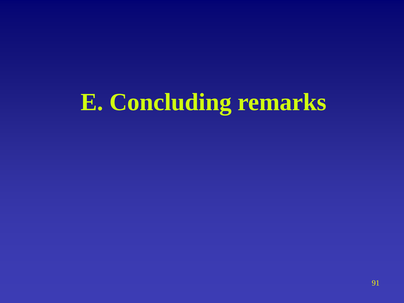# **E. Concluding remarks**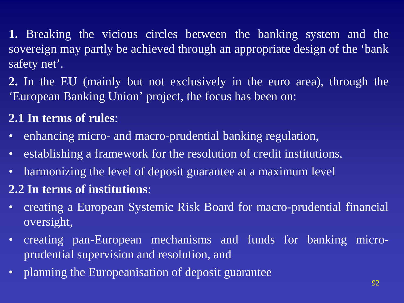**1.** Breaking the vicious circles between the banking system and the sovereign may partly be achieved through an appropriate design of the 'bank safety net'.

**2.** In the EU (mainly but not exclusively in the euro area), through the 'European Banking Union' project, the focus has been on:

# **2.1 In terms of rules**:

- enhancing micro- and macro-prudential banking regulation,
- establishing a framework for the resolution of credit institutions,
- harmonizing the level of deposit guarantee at a maximum level

# **2.2 In terms of institutions**:

- creating a European Systemic Risk Board for macro-prudential financial oversight,
- creating pan-European mechanisms and funds for banking microprudential supervision and resolution, and
- planning the Europeanisation of deposit guarantee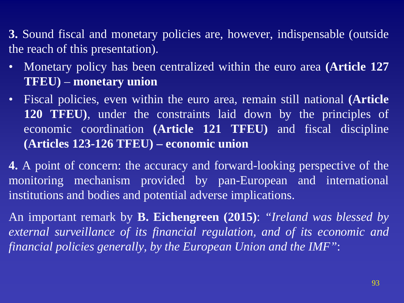**3.** Sound fiscal and monetary policies are, however, indispensable (outside the reach of this presentation).

- Monetary policy has been centralized within the euro area **(Article 127 TFEU)** – **monetary union**
- Fiscal policies, even within the euro area, remain still national **(Article 120 TFEU)**, under the constraints laid down by the principles of economic coordination **(Article 121 TFEU)** and fiscal discipline **(Articles 123-126 TFEU) – economic union**

**4.** A point of concern: the accuracy and forward-looking perspective of the monitoring mechanism provided by pan-European and international institutions and bodies and potential adverse implications.

An important remark by **B. Eichengreen (2015)**: *"Ireland was blessed by external surveillance of its financial regulation, and of its economic and financial policies generally, by the European Union and the IMF"*: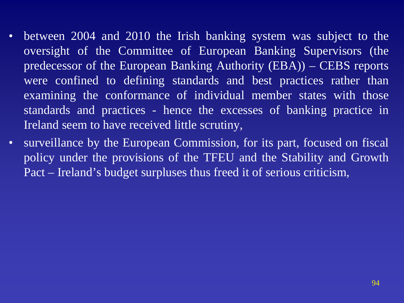- between 2004 and 2010 the Irish banking system was subject to the oversight of the Committee of European Banking Supervisors (the predecessor of the European Banking Authority (EBA)) – CEBS reports were confined to defining standards and best practices rather than examining the conformance of individual member states with those standards and practices - hence the excesses of banking practice in Ireland seem to have received little scrutiny,
- surveillance by the European Commission, for its part, focused on fiscal policy under the provisions of the TFEU and the Stability and Growth Pact – Ireland's budget surpluses thus freed it of serious criticism,